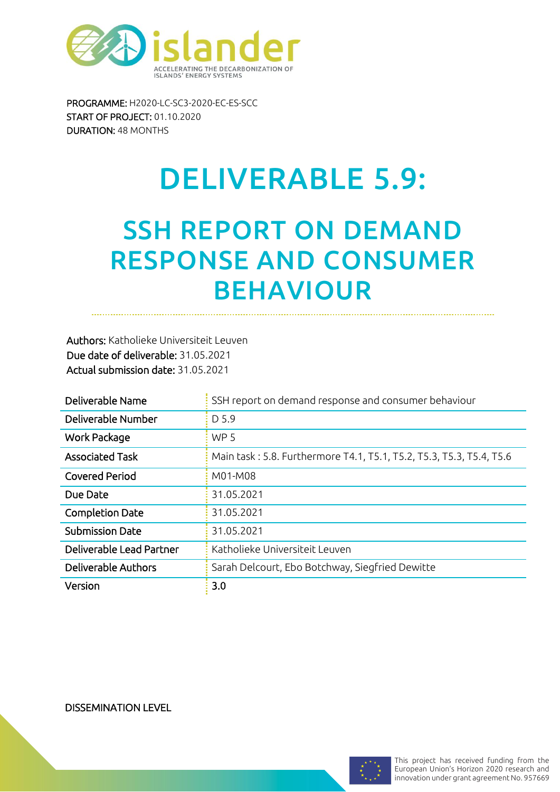

PROGRAMME: H2020-LC-SC3-2020-EC-ES-SCC START OF PROJECT: 01.10.2020 DURATION: 48 MONTHS

# DELIVERABLE 5.9:

# SSH REPORT ON DEMAND RESPONSE AND CONSUMER BEHAVIOUR

Authors: Katholieke Universiteit Leuven Due date of deliverable: 31.05.2021 Actual submission date: 31.05.2021

| Deliverable Name         | SSH report on demand response and consumer behaviour                 |
|--------------------------|----------------------------------------------------------------------|
| Deliverable Number       | D 5.9                                                                |
| Work Package             | WP <sub>5</sub>                                                      |
| <b>Associated Task</b>   | Main task: 5.8. Furthermore T4.1, T5.1, T5.2, T5.3, T5.3, T5.4, T5.6 |
| Covered Period           | M01-M08                                                              |
| Due Date                 | 31.05.2021                                                           |
| Completion Date          | 31.05.2021                                                           |
| <b>Submission Date</b>   | 31.05.2021                                                           |
| Deliverable Lead Partner | Katholieke Universiteit Leuven                                       |
| Deliverable Authors      | Sarah Delcourt, Ebo Botchway, Siegfried Dewitte                      |
| Version                  | 3.0                                                                  |

DISSEMINATION LEVEL

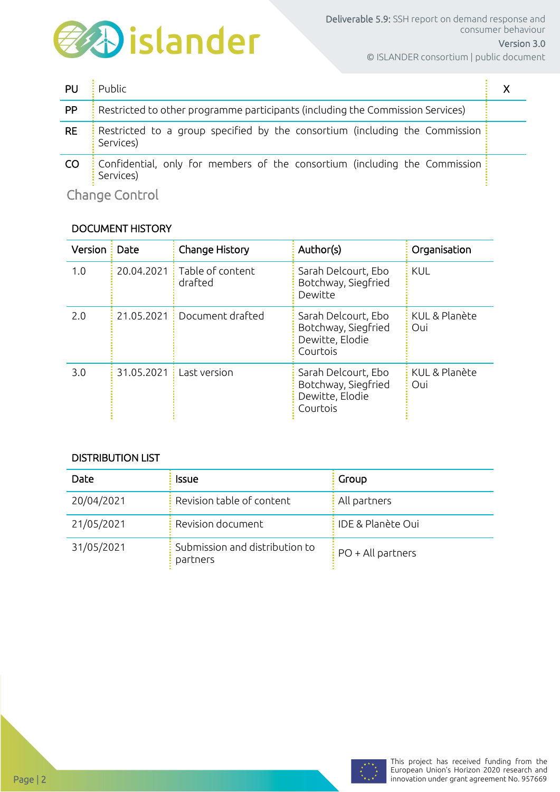

© ISLANDER consortium | public document

| PU        | Public                                                                                   |  |
|-----------|------------------------------------------------------------------------------------------|--|
| <b>PP</b> | Restricted to other programme participants (including the Commission Services)           |  |
| <b>RE</b> | Restricted to a group specified by the consortium (including the Commission<br>Services) |  |
| <b>CO</b> | Confidential, only for members of the consortium (including the Commission:<br>Services) |  |
|           |                                                                                          |  |

Change Control

### DOCUMENT HISTORY

| Version: | Date         | Change History                           | Author(s)                                                                 | Organisation         |
|----------|--------------|------------------------------------------|---------------------------------------------------------------------------|----------------------|
| 1.0      |              | 20.04.2021 : Table of content<br>drafted | Sarah Delcourt, Ebo<br>Botchway, Siegfried<br>Dewitte                     | <b>KUL</b>           |
| 2.0      |              | 21.05.2021 Document drafted              | Sarah Delcourt, Ebo<br>Botchway, Siegfried<br>Dewitte, Elodie<br>Courtois | KUL & Planète<br>Oui |
| 3.0      | 31.05.2021 : | Last version                             | Sarah Delcourt, Ebo<br>Botchway, Siegfried<br>Dewitte, Elodie<br>Courtois | KUL & Planète<br>Oui |

### DISTRIBUTION LIST

| Date       | Issue                                      | Group                           |
|------------|--------------------------------------------|---------------------------------|
| 20/04/2021 | Revision table of content                  | : All partners                  |
| 21/05/2021 | Revision document                          | : IDE & Planète Oui             |
| 31/05/2021 | Submission and distribution to<br>partners | $\frac{1}{2}$ PO + All partners |

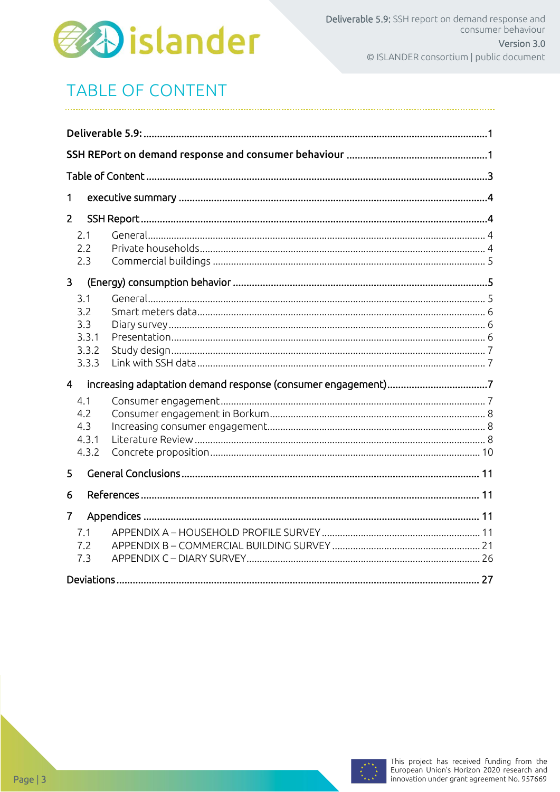

# **TABLE OF CONTENT**

| 1                                            |  |
|----------------------------------------------|--|
| $\overline{2}$                               |  |
| 2.1<br>2.2<br>2.3                            |  |
| $\overline{3}$                               |  |
| 3.1<br>3.2<br>3.3<br>3.3.1<br>3.3.2<br>3.3.3 |  |
| $\overline{4}$                               |  |
| 4.1<br>4.2<br>4.3<br>4.3.1<br>4.3.2          |  |
| 5                                            |  |
| 6                                            |  |
| $\overline{7}$<br>7.1<br>7.2<br>7.3          |  |

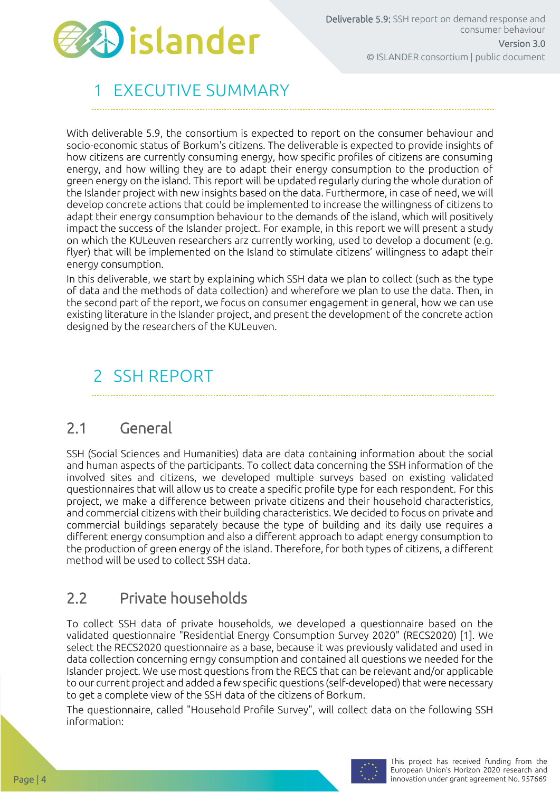

# **FXECUTIVE SUMMARY**

With deliverable 5.9, the consortium is expected to report on the consumer behaviour and socio-economic status of Borkum's citizens. The deliverable is expected to provide insights of how citizens are currently consuming energy, how specific profiles of citizens are consuming energy, and how willing they are to adapt their energy consumption to the production of green energy on the island. This report will be updated regularly during the whole duration of the Islander project with new insights based on the data. Furthermore, in case of need, we will develop concrete actions that could be implemented to increase the willingness of citizens to adapt their energy consumption behaviour to the demands of the island, which will positively impact the success of the Islander project. For example, in this report we will present a study on which the KULeuven researchers arz currently working, used to develop a document (e.g. flyer) that will be implemented on the Island to stimulate citizens' willingness to adapt their energy consumption.

In this deliverable, we start by explaining which SSH data we plan to collect (such as the type of data and the methods of data collection) and wherefore we plan to use the data. Then, in the second part of the report, we focus on consumer engagement in general, how we can use existing literature in the Islander project, and present the development of the concrete action designed by the researchers of the KULeuven.

# 2 SSH REPORT

### 2.1 General

SSH (Social Sciences and Humanities) data are data containing information about the social and human aspects of the participants. To collect data concerning the SSH information of the involved sites and citizens, we developed multiple surveys based on existing validated questionnaires that will allow us to create a specific profile type for each respondent. For this project, we make a difference between private citizens and their household characteristics, and commercial citizens with their building characteristics. We decided to focus on private and commercial buildings separately because the type of building and its daily use requires a different energy consumption and also a different approach to adapt energy consumption to the production of green energy of the island. Therefore, for both types of citizens, a different method will be used to collect SSH data.

# 2.2 Private households

To collect SSH data of private households, we developed a questionnaire based on the validated questionnaire "Residential Energy Consumption Survey 2020" (RECS2020) [1]. We select the RECS2020 questionnaire as a base, because it was previously validated and used in data collection concerning erngy consumption and contained all questions we needed for the Islander project. We use most questions from the RECS that can be relevant and/or applicable to our current project and added a few specific questions (self-developed) that were necessary to get a complete view of the SSH data of the citizens of Borkum.

The questionnaire, called "Household Profile Survey", will collect data on the following SSH information:

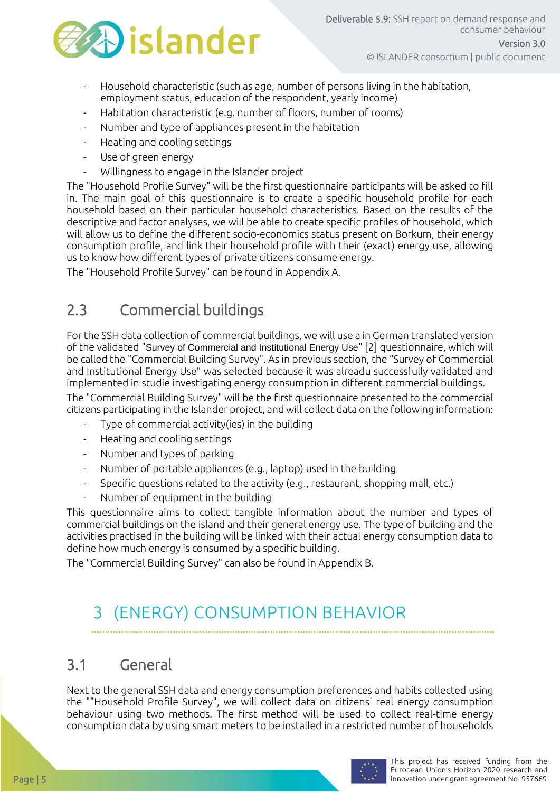

- Household characteristic (such as age, number of persons living in the habitation, employment status, education of the respondent, yearly income)
- Habitation characteristic (e.g. number of floors, number of rooms)
- Number and type of appliances present in the habitation
- Heating and cooling settings
- Use of green energy
- Willingness to engage in the Islander project

The "Household Profile Survey" will be the first questionnaire participants will be asked to fill in. The main goal of this questionnaire is to create a specific household profile for each household based on their particular household characteristics. Based on the results of the descriptive and factor analyses, we will be able to create specific profiles of household, which will allow us to define the different socio-economics status present on Borkum, their energy consumption profile, and link their household profile with their (exact) energy use, allowing us to know how different types of private citizens consume energy.

The "Household Profile Survey" can be found in Appendix A.

### 2.3 Commercial buildings

For the SSH data collection of commercial buildings, we will use a in German translated version of the validated "Survey of Commercial and Institutional Energy Use" [2] questionnaire, which will be called the "Commercial Building Survey". As in previous section, the "Survey of Commercial and Institutional Energy Use" was selected because it was alreadu successfully validated and implemented in studie investigating energy consumption in different commercial buildings.

The "Commercial Building Survey" will be the first questionnaire presented to the commercial citizens participating in the Islander project, and will collect data on the following information:

- Type of commercial activity(ies) in the building
- Heating and cooling settings
- Number and types of parking
- Number of portable appliances (e.g., laptop) used in the building
- Specific questions related to the activity (e.g., restaurant, shopping mall, etc.)
- Number of equipment in the building

This questionnaire aims to collect tangible information about the number and types of commercial buildings on the island and their general energy use. The type of building and the activities practised in the building will be linked with their actual energy consumption data to define how much energy is consumed by a specific building.

The "Commercial Building Survey" can also be found in Appendix B.

# 3 (ENERGY) CONSUMPTION BEHAVIOR

### 3.1 General

Next to the general SSH data and energy consumption preferences and habits collected using the ""Household Profile Survey", we will collect data on citizens' real energy consumption behaviour using two methods. The first method will be used to collect real-time energy consumption data by using smart meters to be installed in a restricted number of households

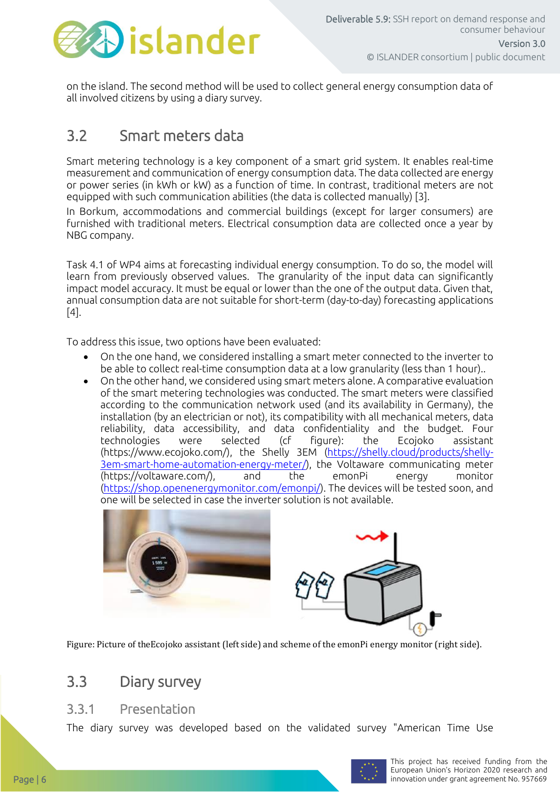

on the island. The second method will be used to collect general energy consumption data of all involved citizens by using a diary survey.

### 3.2 Smart meters data

Smart metering technology is a key component of a smart grid system. It enables real-time measurement and communication of energy consumption data. The data collected are energy or power series (in kWh or kW) as a function of time. In contrast, traditional meters are not equipped with such communication abilities (the data is collected manually) [3].

In Borkum, accommodations and commercial buildings (except for larger consumers) are furnished with traditional meters. Electrical consumption data are collected once a year by NBG company.

Task 4.1 of WP4 aims at forecasting individual energy consumption. To do so, the model will learn from previously observed values. The granularity of the input data can significantly impact model accuracy. It must be equal or lower than the one of the output data. Given that, annual consumption data are not suitable for short-term (day-to-day) forecasting applications [4].

To address this issue, two options have been evaluated:

- On the one hand, we considered installing a smart meter connected to the inverter to be able to collect real-time consumption data at a low granularity (less than 1 hour)..
- On the other hand, we considered using smart meters alone. A comparative evaluation of the smart metering technologies was conducted. The smart meters were classified according to the communication network used (and its availability in Germany), the installation (by an electrician or not), its compatibility with all mechanical meters, data reliability, data accessibility, and data confidentiality and the budget. Four technologies were selected (cf figure): the Ecojoko assistant (https://www.ecojoko.com/), the Shelly 3EM [\(https://shelly.cloud/products/shelly-](https://shelly.cloud/products/shelly-3em-smart-home-automation-energy-meter/)[3em-smart-home-automation-energy-meter/\)](https://shelly.cloud/products/shelly-3em-smart-home-automation-energy-meter/), the Voltaware communicating meter (https://voltaware.com/), and the emonPi energy monitor [\(https://shop.openenergymonitor.com/emonpi/\)](https://shop.openenergymonitor.com/emonpi/). The devices will be tested soon, and one will be selected in case the inverter solution is not available.



Figure: Picture of theEcojoko assistant (left side) and scheme of the emonPi energy monitor (right side).

### 3.3 Diary survey

### 3.3.1 Presentation

The diary survey was developed based on the validated survey "American Time Use

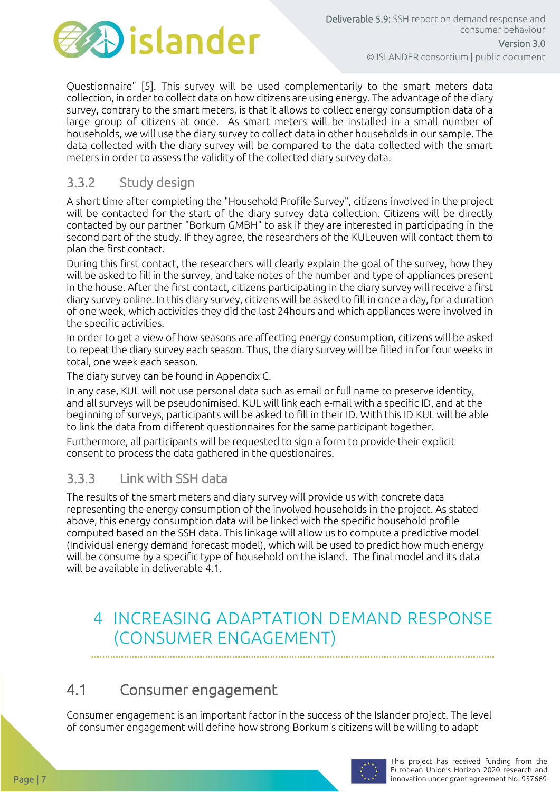

Questionnaire" [5]. This survey will be used complementarily to the smart meters data collection, in order to collect data on how citizens are using energy. The advantage of the diary survey, contrary to the smart meters, is that it allows to collect energy consumption data of a large group of citizens at once. As smart meters will be installed in a small number of households, we will use the diary survey to collect data in other households in our sample. The data collected with the diary survey will be compared to the data collected with the smart meters in order to assess the validity of the collected diary survey data.

### 3.3.2 Study design

A short time after completing the "Household Profile Survey", citizens involved in the project will be contacted for the start of the diary survey data collection. Citizens will be directly contacted by our partner "Borkum GMBH" to ask if they are interested in participating in the second part of the study. If they agree, the researchers of the KULeuven will contact them to plan the first contact.

During this first contact, the researchers will clearly explain the goal of the survey, how they will be asked to fill in the survey, and take notes of the number and type of appliances present in the house. After the first contact, citizens participating in the diary survey will receive a first diary survey online. In this diary survey, citizens will be asked to fill in once a day, for a duration of one week, which activities they did the last 24hours and which appliances were involved in the specific activities.

In order to get a view of how seasons are affecting energy consumption, citizens will be asked to repeat the diary survey each season. Thus, the diary survey will be filled in for four weeks in total, one week each season.

The diary survey can be found in Appendix C.

In any case, KUL will not use personal data such as email or full name to preserve identity, and all surveys will be pseudonimised. KUL will link each e-mail with a specific ID, and at the beginning of surveys, participants will be asked to fill in their ID. With this ID KUL will be able to link the data from different questionnaires for the same participant together.

Furthermore, all participants will be requested to sign a form to provide their explicit consent to process the data gathered in the questionaires.

### 3.3.3 Link with SSH data

The results of the smart meters and diary survey will provide us with concrete data representing the energy consumption of the involved households in the project. As stated above, this energy consumption data will be linked with the specific household profile computed based on the SSH data. This linkage will allow us to compute a predictive model (Individual energy demand forecast model), which will be used to predict how much energy will be consume by a specific type of household on the island. The final model and its data will be available in deliverable 4.1.

## 4 INCREASING ADAPTATION DEMAND RESPONSE (CONSUMER ENGAGEMENT)

### 4.1 Consumer engagement

Consumer engagement is an important factor in the success of the Islander project. The level of consumer engagement will define how strong Borkum's citizens will be willing to adapt

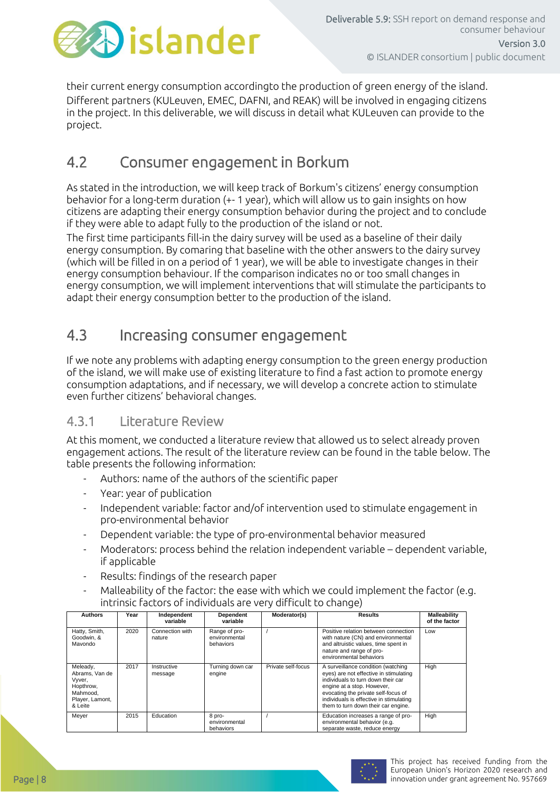

their current energy consumption accordingto the production of green energy of the island. Different partners (KULeuven, EMEC, DAFNI, and REAK) will be involved in engaging citizens in the project. In this deliverable, we will discuss in detail what KULeuven can provide to the project.

### 4.2 Consumer engagement in Borkum

As stated in the introduction, we will keep track of Borkum's citizens' energy consumption behavior for a long-term duration (+- 1 year), which will allow us to gain insights on how citizens are adapting their energy consumption behavior during the project and to conclude if they were able to adapt fully to the production of the island or not.

The first time participants fill-in the dairy survey will be used as a baseline of their daily energy consumption. By comaring that baseline with the other answers to the dairy survey (which will be filled in on a period of 1 year), we will be able to investigate changes in their energy consumption behaviour. If the comparison indicates no or too small changes in energy consumption, we will implement interventions that will stimulate the participants to adapt their energy consumption better to the production of the island.

### 4.3 Increasing consumer engagement

If we note any problems with adapting energy consumption to the green energy production of the island, we will make use of existing literature to find a fast action to promote energy consumption adaptations, and if necessary, we will develop a concrete action to stimulate even further citizens' behavioral changes.

### 4.3.1 Literature Review

At this moment, we conducted a literature review that allowed us to select already proven engagement actions. The result of the literature review can be found in the table below. The table presents the following information:

- Authors: name of the authors of the scientific paper
- Year: year of publication
- Independent variable: factor and/of intervention used to stimulate engagement in pro-environmental behavior
- Dependent variable: the type of pro-environmental behavior measured
- Moderators: process behind the relation independent variable dependent variable, if applicable
- Results: findings of the research paper
- Malleability of the factor: the ease with which we could implement the factor (e.g. intrinsic factors of individuals are very difficult to change)

| <b>Authors</b>                                                                              | Year | Independent<br>variable   | <b>Dependent</b><br>variable                | Moderator(s)       | <b>Results</b>                                                                                                                                                                                                                                                            | Malleability<br>of the factor |
|---------------------------------------------------------------------------------------------|------|---------------------------|---------------------------------------------|--------------------|---------------------------------------------------------------------------------------------------------------------------------------------------------------------------------------------------------------------------------------------------------------------------|-------------------------------|
| Hatty, Smith,<br>Goodwin, &<br>Mayondo                                                      | 2020 | Connection with<br>nature | Range of pro-<br>environmental<br>behaviors |                    | Positive relation between connection<br>with nature (CN) and environmental<br>and altruistic values, time spent in<br>nature and range of pro-<br>environmental behaviors                                                                                                 | Low                           |
| Meleady,<br>Abrams, Van de<br>Vyver,<br>Hopthrow,<br>Mahmood.<br>Player, Lamont,<br>& Leite | 2017 | Instructive<br>message    | Turning down car<br>engine                  | Private self-focus | A surveillance condition (watching<br>eyes) are not effective in stimulating<br>individuals to turn down their car<br>engine at a stop. However,<br>evocating the private self-focus of<br>individuals is effective in stimulating<br>them to turn down their car engine. | High                          |
| Meyer                                                                                       | 2015 | Education                 | 8 pro-<br>environmental<br>behaviors        |                    | Education increases a range of pro-<br>environmental behavior (e.g.<br>separate waste, reduce energy                                                                                                                                                                      | High                          |

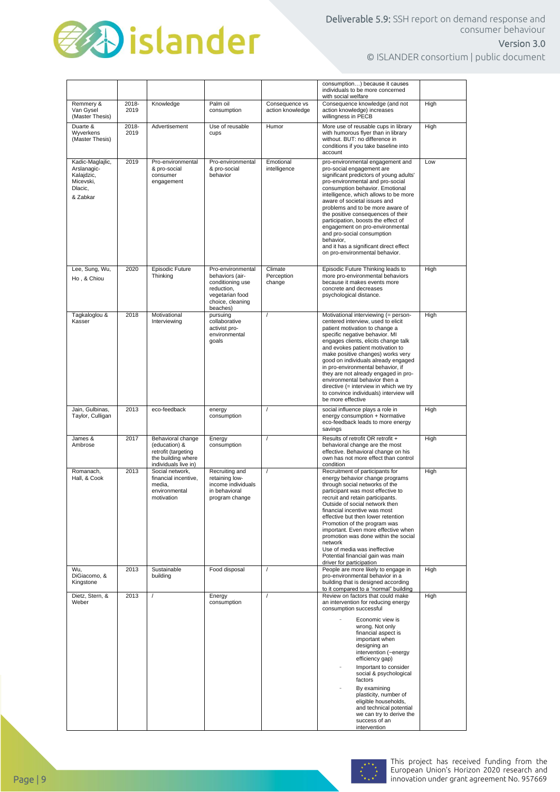

### Version 3.0

© ISLANDER consortium | public document

|                                                                                   |               |                                                                                                         |                                                                                                                           |                                    | consumption) because it causes<br>individuals to be more concerned<br>with social welfare                                                                                                                                                                                                                                                                                                                                                                                                                                           |             |
|-----------------------------------------------------------------------------------|---------------|---------------------------------------------------------------------------------------------------------|---------------------------------------------------------------------------------------------------------------------------|------------------------------------|-------------------------------------------------------------------------------------------------------------------------------------------------------------------------------------------------------------------------------------------------------------------------------------------------------------------------------------------------------------------------------------------------------------------------------------------------------------------------------------------------------------------------------------|-------------|
| Remmery &<br>Van Gysel<br>(Master Thesis)                                         | 2018-<br>2019 | Knowledge                                                                                               | Palm oil<br>consumption                                                                                                   | Consequence vs<br>action knowledge | Consequence knowledge (and not<br>action knowledge) increases<br>willingness in PECB                                                                                                                                                                                                                                                                                                                                                                                                                                                | High        |
| Duarte &<br>Wyverkens<br>(Master Thesis)                                          | 2018-<br>2019 | Advertisement                                                                                           | Use of reusable<br>cups                                                                                                   | Humor                              | More use of reusable cups in library<br>with humorous flver than in library<br>without. BUT: no difference in<br>conditions if you take baseline into<br>account                                                                                                                                                                                                                                                                                                                                                                    | High        |
| Kadic-Maglajlic,<br>Arslanagic-<br>Kalajdzic,<br>Micevski,<br>Dlacic,<br>& Zabkar | 2019          | Pro-environmental<br>& pro-social<br>consumer<br>engagement                                             | Pro-environmental<br>& pro-social<br>behavior                                                                             | Emotional<br>intelligence          | pro-environmental engagement and<br>pro-social engagement are<br>significant predictors of young adults'<br>pro-environmental and pro-social<br>consumption behavior. Emotional<br>intelligence, which allows to be more<br>aware of societal issues and<br>problems and to be more aware of<br>the positive consequences of their<br>participation, boosts the effect of<br>engagement on pro-environmental<br>and pro-social consumption<br>behavior,<br>and it has a significant direct effect<br>on pro-environmental behavior. | Low         |
| Lee, Sung, Wu,<br>Ho, & Chiou                                                     | 2020          | Episodic Future<br>Thinking                                                                             | Pro-environmental<br>behaviors (air-<br>conditioning use<br>reduction,<br>vegetarian food<br>choice, cleaning<br>beaches) | Climate<br>Perception<br>change    | Episodic Future Thinking leads to<br>more pro-environmental behaviors<br>because it makes events more<br>concrete and decreases<br>psychological distance.                                                                                                                                                                                                                                                                                                                                                                          | High        |
| Tagkaloglou &<br>Kasser                                                           | 2018          | Motivational<br>Interviewing                                                                            | pursuing<br>collaborative<br>activist pro-<br>environmental<br>goals                                                      | $\prime$                           | Motivational interviewing (= person-<br>centered interview, used to elicit<br>patient motivation to change a<br>specific negative behavior. MI<br>engages clients, elicits change talk<br>and evokes patient motivation to<br>make positive changes) works very<br>good on individuals already engaged<br>in pro-environmental behavior, if<br>they are not already engaged in pro-<br>environmental behavior then a<br>directive (= interview in which we try<br>to convince individuals) interview will<br>be more effective      | High        |
| Jain, Gulbinas,<br>Taylor, Culligan                                               | 2013          | eco-feedback                                                                                            | energy<br>consumption                                                                                                     |                                    | social influence plays a role in<br>energy consumption + Normative<br>eco-feedback leads to more energy<br>savings                                                                                                                                                                                                                                                                                                                                                                                                                  | High        |
| James &<br>Ambrose                                                                | 2017          | Behavioral change<br>(education) &<br>retrofit (targeting<br>the building where<br>individuals live in) | Energy<br>consumption                                                                                                     | 1                                  | Results of retrofit OR retrofit +<br>behavioral change are the most<br>effective. Behavioral change on his<br>own has not more effect than control<br>condition                                                                                                                                                                                                                                                                                                                                                                     | High        |
| Romanach,<br>Hall, & Cook                                                         | 2013          | Social network,<br>financial incentive.<br>media.<br>environmental<br>motivation                        | Recruiting and<br>retaining low-<br>income individuals<br>in behavioral<br>program change                                 | $\prime$                           | Recruitment of participants for<br>energy behavior change programs<br>through social networks of the<br>participant was most effective to<br>recruit and retain participants.<br>Outside of social network then<br>financial incentive was most<br>effective but then lower retention<br>Promotion of the program was<br>important. Even more effective when<br>promotion was done within the social<br>network<br>Use of media was ineffective<br>Potential financial gain was main<br>driver for participation                    | High        |
| Wu.<br>DiGiacomo, &<br>Kingstone                                                  | 2013          | Sustainable<br>building                                                                                 | Food disposal                                                                                                             |                                    | People are more likely to engage in<br>pro-environmental behavior in a<br>building that is designed according<br>to it compared to a "normal" building                                                                                                                                                                                                                                                                                                                                                                              | <b>High</b> |
| Dietz, Stern, &<br>Weber                                                          | 2013          |                                                                                                         | Energy<br>consumption                                                                                                     |                                    | Review on factors that could make<br>an intervention for reducing energy<br>consumption successful<br>Economic view is<br>wrong. Not only<br>financial aspect is<br>important when<br>designing an<br>intervention (~energy<br>efficiency gap)<br>Important to consider<br>social & psychological<br>factors<br>By examining<br>plasticity, number of<br>eligible households,<br>and technical potential<br>we can try to derive the<br>success of an<br>intervention                                                               | High        |

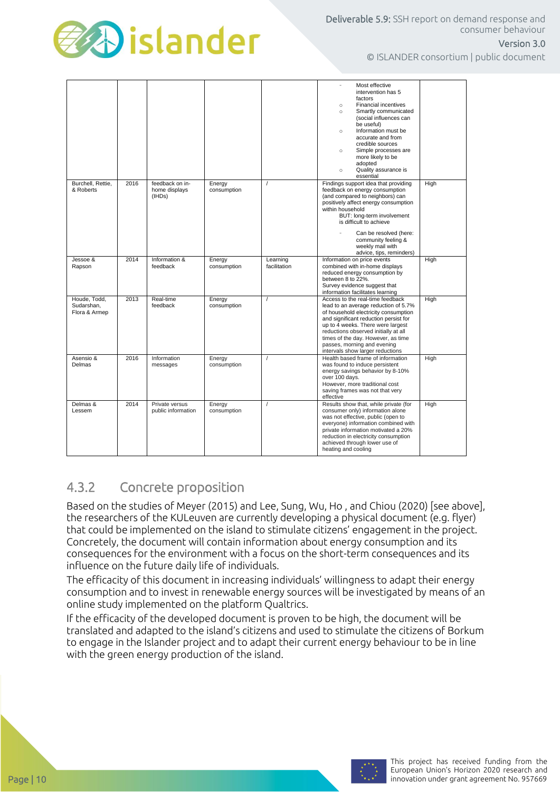

© ISLANDER consortium | public document

Version 3.0

|                                             |      |                                            |                       |                          | Most effective<br>intervention has 5<br>factors<br><b>Financial incentives</b><br>$\circ$<br>Smartly communicated<br>$\circ$<br>(social influences can<br>be useful)<br>Information must be<br>$\circ$<br>accurate and from<br>credible sources<br>Simple processes are<br>$\circ$<br>more likely to be<br>adopted<br>Quality assurance is<br>$\circ$<br>essential |      |
|---------------------------------------------|------|--------------------------------------------|-----------------------|--------------------------|--------------------------------------------------------------------------------------------------------------------------------------------------------------------------------------------------------------------------------------------------------------------------------------------------------------------------------------------------------------------|------|
| Burchell, Rettie.<br>& Roberts              | 2016 | feedback on in-<br>home displays<br>(IHDs) | Energy<br>consumption | $\prime$                 | Findings support idea that providing<br>feedback on energy consumption<br>(and compared to neighbors) can<br>positively affect energy consumption<br>within household<br>BUT: long-term involvement<br>is difficult to achieve<br>Can be resolved (here:<br>community feeling &<br>weekly mail with<br>advice, tips, reminders)                                    | High |
| Jessoe &<br>Rapson                          | 2014 | Information &<br>feedback                  | Energy<br>consumption | Learning<br>facilitation | Information on price events<br>combined with in-home displays<br>reduced energy consumption by<br>between 8 to 22%.<br>Survey evidence suggest that<br>information facilitates learning                                                                                                                                                                            | High |
| Houde, Todd,<br>Sudarshan,<br>Flora & Armep | 2013 | Real-time<br>feedback                      | Energy<br>consumption | $\prime$                 | Access to the real-time feedback<br>lead to an average reduction of 5.7%<br>of household electricity consumption<br>and significant reduction persist for<br>up to 4 weeks. There were largest<br>reductions observed initially at all<br>times of the day. However, as time<br>passes, morning and evening<br>intervals show larger reductions                    | High |
| Asensio &<br>Delmas                         | 2016 | Information<br>messages                    | Energy<br>consumption | $\overline{I}$           | Health based frame of information<br>was found to induce persistent<br>energy savings behavior by 8-10%<br>over 100 days.<br>However, more traditional cost<br>saving frames was not that very<br>effective                                                                                                                                                        | High |
| Delmas &<br>Lessem                          | 2014 | Private versus<br>public information       | Energy<br>consumption | $\overline{I}$           | Results show that, while private (for<br>consumer only) information alone<br>was not effective, public (open to<br>everyone) information combined with<br>private information motivated a 20%<br>reduction in electricity consumption<br>achieved through lower use of<br>heating and cooling                                                                      | High |

### 4.3.2 Concrete proposition

Based on the studies of Meyer (2015) and Lee, Sung, Wu, Ho , and Chiou (2020) [see above], the researchers of the KULeuven are currently developing a physical document (e.g. flyer) that could be implemented on the island to stimulate citizens' engagement in the project. Concretely, the document will contain information about energy consumption and its consequences for the environment with a focus on the short-term consequences and its influence on the future daily life of individuals.

The efficacity of this document in increasing individuals' willingness to adapt their energy consumption and to invest in renewable energy sources will be investigated by means of an online study implemented on the platform Qualtrics.

If the efficacity of the developed document is proven to be high, the document will be translated and adapted to the island's citizens and used to stimulate the citizens of Borkum to engage in the Islander project and to adapt their current energy behaviour to be in line with the green energy production of the island.

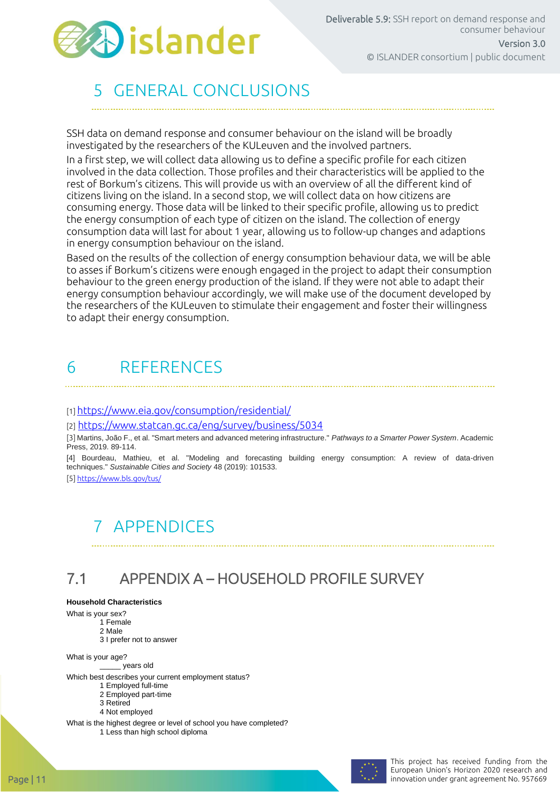

# 5 GENERAL CONCLUSIONS

SSH data on demand response and consumer behaviour on the island will be broadly investigated by the researchers of the KULeuven and the involved partners.

In a first step, we will collect data allowing us to define a specific profile for each citizen involved in the data collection. Those profiles and their characteristics will be applied to the rest of Borkum's citizens. This will provide us with an overview of all the different kind of citizens living on the island. In a second stop, we will collect data on how citizens are consuming energy. Those data will be linked to their specific profile, allowing us to predict the energy consumption of each type of citizen on the island. The collection of energy consumption data will last for about 1 year, allowing us to follow-up changes and adaptions in energy consumption behaviour on the island.

Based on the results of the collection of energy consumption behaviour data, we will be able to asses if Borkum's citizens were enough engaged in the project to adapt their consumption behaviour to the green energy production of the island. If they were not able to adapt their energy consumption behaviour accordingly, we will make use of the document developed by the researchers of the KULeuven to stimulate their engagement and foster their willingness to adapt their energy consumption.

### 6 REFERENCES

[1] <https://www.eia.gov/consumption/residential/>

[2] <https://www.statcan.gc.ca/eng/survey/business/5034>

[3] Martins, João F., et al. "Smart meters and advanced metering infrastructure." *Pathways to a Smarter Power System*. Academic Press, 2019. 89-114.

[4] Bourdeau, Mathieu, et al. "Modeling and forecasting building energy consumption: A review of data-driven techniques." *Sustainable Cities and Society* 48 (2019): 101533.

[5[\] https://www.bls.gov/tus/](https://www.bls.gov/tus/)

# 7 APPENDICES

# 7.1 APPENDIX A – HOUSEHOLD PROFILE SURVEY

#### **Household Characteristics**

What is your sex?

- 1 Female
	- 2 Male 3 I prefer not to answer

What is your age?

\_\_\_\_\_ years old

Which best describes your current employment status?

- 1 Employed full-time
- 2 Employed part-time 3 Retired
- 4 Not employed

What is the highest degree or level of school you have completed? 1 Less than high school diploma

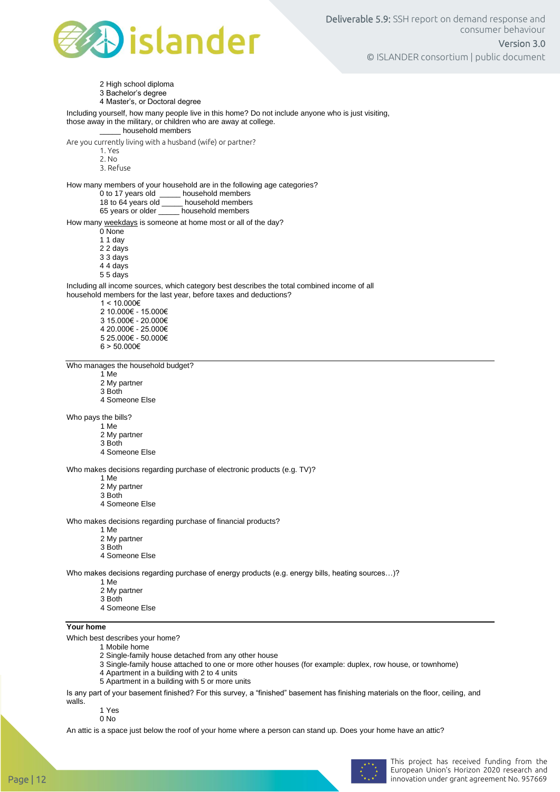

2 High school diploma

3 Bachelor's degree

4 Master's, or Doctoral degree

#### Including yourself, how many people live in this home? Do not include anyone who is just visiting, those away in the military, or children who are away at college. \_\_\_\_\_ household members

Are you currently living with a husband (wife) or partner?

- 1. Yes
- 2. No
- 3. Refuse

How many members of your household are in the following age categories?

- 0 to 17 years old \_\_\_\_\_ household members<br>18 to 64 years old \_\_\_\_ household members
- 18 to 64 years old \_\_\_\_\_ household members<br>65 years or older \_\_\_\_\_ household members
- household members

How many weekdays is someone at home most or all of the day?

0 None 1 1 day

- 2 2 days
- 3 3 days
- 4 4 days
- 5 5 days

Including all income sources, which category best describes the total combined income of all household members for the last year, before taxes and deductions?

- $1 < 10.000€$
- 2 10.000€ 15.000€ 3 15.000€ - 20.000€ 4 20.000€ - 25.000€ 5 25.000€ - 50.000€  $6 > 50.000 \in$

Who manages the household budget?

- 1 Me
- 2 My partner
- 3 Both
- 4 Someone Else

Who pays the bills?

- 1 Me
- 2 My partner
- 3 Both 4 Someone Else

Who makes decisions regarding purchase of electronic products (e.g. TV)?

- 1 Me
- 2 My partner
- 3 Both
- 4 Someone Else

Who makes decisions regarding purchase of financial products?

- 1 Me
- 2 My partner
- 3 Both
- 4 Someone Else

Who makes decisions regarding purchase of energy products (e.g. energy bills, heating sources…)?

- 1 Me
- 2 My partner
- 3 Both
- 4 Someone Else

#### **Your home**

Which best describes your home?

- 1 Mobile home
	- 2 Single-family house detached from any other house
- 3 Single-family house attached to one or more other houses (for example: duplex, row house, or townhome)
- 4 Apartment in a building with 2 to 4 units
- 5 Apartment in a building with 5 or more units

Is any part of your basement finished? For this survey, a "finished" basement has finishing materials on the floor, ceiling, and walls.

1 Yes

0 No

An attic is a space just below the roof of your home where a person can stand up. Does your home have an attic?

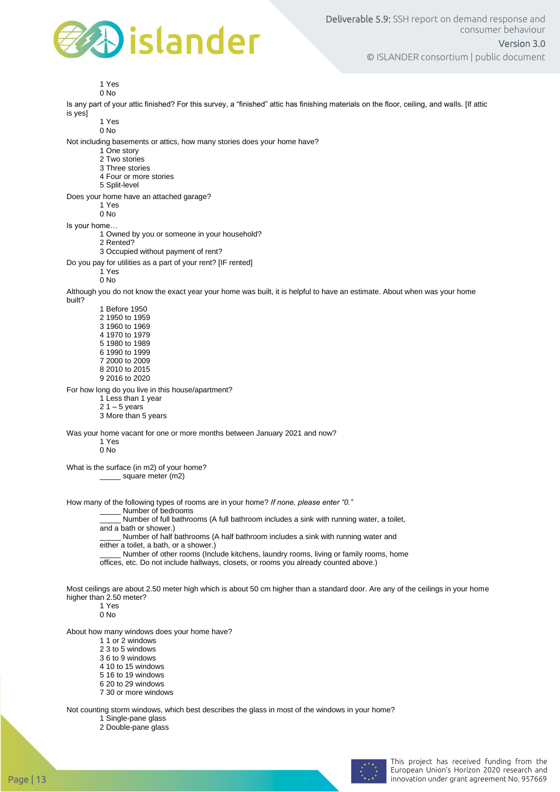

1 Yes

0 No

Is any part of your attic finished? For this survey, a "finished" attic has finishing materials on the floor, ceiling, and walls. [If attic is yes]

1 Yes

0 No

Not including basements or attics, how many stories does your home have?

- 1 One story
- 2 Two stories
- 3 Three stories
- 4 Four or more stories
- 5 Split-level
- Does your home have an attached garage?

1 Yes

0 No

Is your home…

- 1 Owned by you or someone in your household?
- 2 Rented? 3 Occupied without payment of rent?
- Do you pay for utilities as a part of your rent? [IF rented]
	- 1 Yes

0 No

Although you do not know the exact year your home was built, it is helpful to have an estimate. About when was your home

built?

For how long do you live in this house/apartment?

- 1 Less than 1 year
- $21 5$  years
- 3 More than 5 years

Was your home vacant for one or more months between January 2021 and now?

1 Yes 0 No

What is the surface (in m2) of your home?

\_\_\_\_\_ square meter (m2)

How many of the following types of rooms are in your home? *If none, please enter "0."*

Number of bedrooms

Number of full bathrooms (A full bathroom includes a sink with running water, a toilet,

and a bath or shower.)

\_\_\_\_\_ Number of half bathrooms (A half bathroom includes a sink with running water and either a toilet, a bath, or a shower.)

\_\_\_\_\_ Number of other rooms (Include kitchens, laundry rooms, living or family rooms, home

offices, etc. Do not include hallways, closets, or rooms you already counted above.)

Most ceilings are about 2.50 meter high which is about 50 cm higher than a standard door. Are any of the ceilings in your home higher than 2.50 meter?

1 Yes 0 No

About how many windows does your home have?

- 1 1 or 2 windows
- 2 3 to 5 windows
- 3 6 to 9 windows
- 4 10 to 15 windows
- 5 16 to 19 windows
- 6 20 to 29 windows
- 7 30 or more windows

Not counting storm windows, which best describes the glass in most of the windows in your home?

1 Single-pane glass 2 Double-pane glass

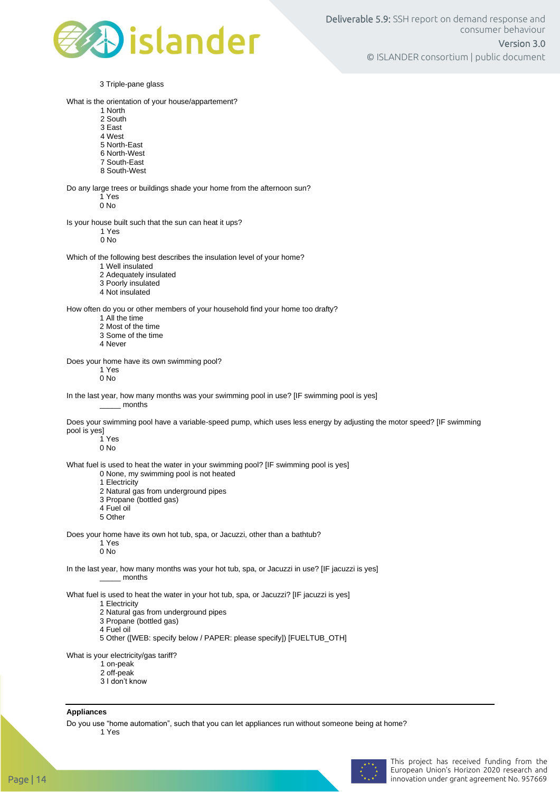

3 Triple-pane glass What is the orientation of your house/appartement? 1 North 2 South 3 East 4 West 5 North-East 6 North-West 7 South-East 8 South-West Do any large trees or buildings shade your home from the afternoon sun? 1 Yes 0 No Is your house built such that the sun can heat it ups? 1 Yes 0 No Which of the following best describes the insulation level of your home? 1 Well insulated 2 Adequately insulated 3 Poorly insulated 4 Not insulated How often do you or other members of your household find your home too drafty? 1 All the time 2 Most of the time 3 Some of the time 4 Never Does your home have its own swimming pool? 1 Yes 0 No In the last year, how many months was your swimming pool in use? [IF swimming pool is yes] \_\_\_\_\_ months Does your swimming pool have a variable-speed pump, which uses less energy by adjusting the motor speed? [IF swimming pool is yes] 1 Yes 0 No What fuel is used to heat the water in your swimming pool? [IF swimming pool is yes] 0 None, my swimming pool is not heated 1 Electricity 2 Natural gas from underground pipes 3 Propane (bottled gas) 4 Fuel oil 5 Other Does your home have its own hot tub, spa, or Jacuzzi, other than a bathtub? 1 Yes 0 No In the last year, how many months was your hot tub, spa, or Jacuzzi in use? [IF jacuzzi is yes] \_\_\_\_\_ months What fuel is used to heat the water in your hot tub, spa, or Jacuzzi? [IF jacuzzi is yes] 1 Electricity 2 Natural gas from underground pipes 3 Propane (bottled gas) 4 Fuel oil 5 Other ([WEB: specify below / PAPER: please specify]) [FUELTUB\_OTH] What is your electricity/gas tariff? 1 on-peak

- 2 off-peak
- 3 I don't know

#### **Appliances**

Do you use "home automation", such that you can let appliances run without someone being at home? 1 Yes

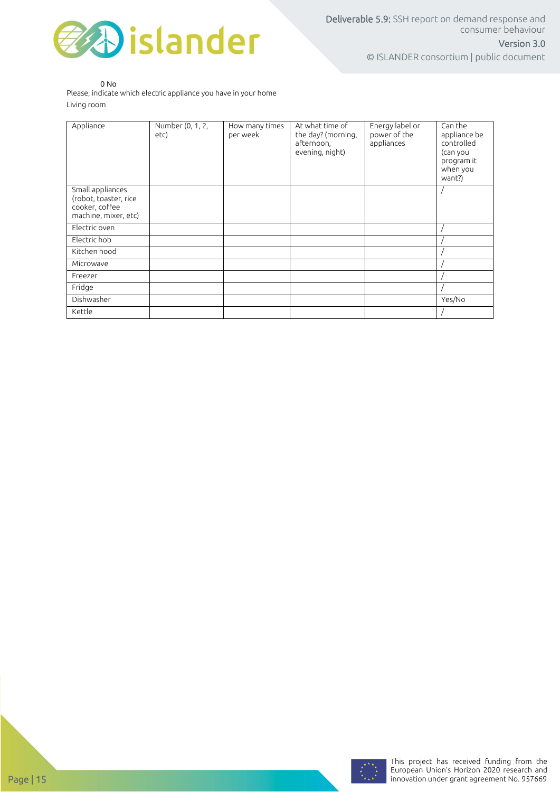

0 No

Please, indicate which electric appliance you have in your home Living room

| Appliance                                                                           | Number (0, 1, 2,<br>etc) | How many times<br>per week | At what time of<br>the day? (morning,<br>afternoon,<br>evening, night) | Energy label or<br>power of the<br>appliances | Can the<br>appliance be<br>controlled<br>(can you<br>program it<br>when you<br>want?) |
|-------------------------------------------------------------------------------------|--------------------------|----------------------------|------------------------------------------------------------------------|-----------------------------------------------|---------------------------------------------------------------------------------------|
| Small appliances<br>(robot, toaster, rice<br>cooker, coffee<br>machine, mixer, etc) |                          |                            |                                                                        |                                               |                                                                                       |
| Electric oven                                                                       |                          |                            |                                                                        |                                               |                                                                                       |
| Electric hob                                                                        |                          |                            |                                                                        |                                               |                                                                                       |
| Kitchen hood                                                                        |                          |                            |                                                                        |                                               |                                                                                       |
| Microwave                                                                           |                          |                            |                                                                        |                                               |                                                                                       |
| Freezer                                                                             |                          |                            |                                                                        |                                               |                                                                                       |
| Fridge                                                                              |                          |                            |                                                                        |                                               |                                                                                       |
| Dishwasher                                                                          |                          |                            |                                                                        |                                               | Yes/No                                                                                |
| Kettle                                                                              |                          |                            |                                                                        |                                               |                                                                                       |

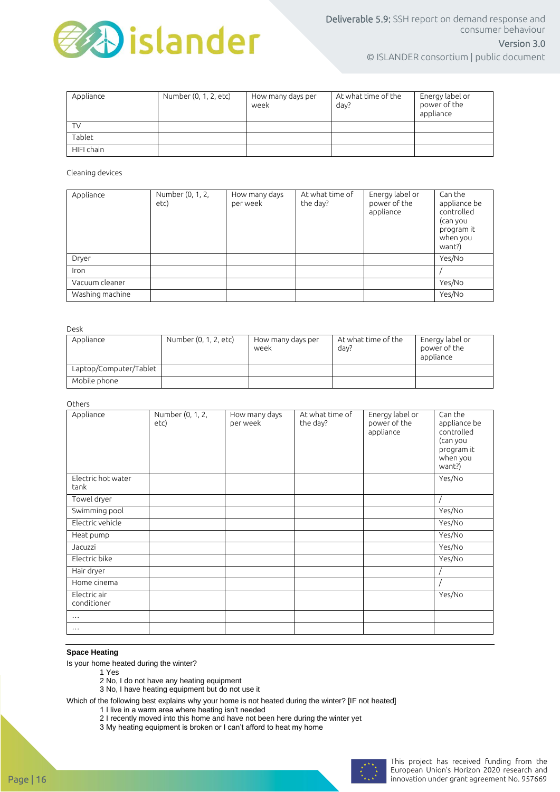

© ISLANDER consortium | public document

| Appliance  | Number (0, 1, 2, etc) | How many days per<br>week | At what time of the<br>day? | Energy label or<br>power of the<br>appliance |
|------------|-----------------------|---------------------------|-----------------------------|----------------------------------------------|
| <b>TV</b>  |                       |                           |                             |                                              |
| Tablet     |                       |                           |                             |                                              |
| HIFI chain |                       |                           |                             |                                              |

Cleaning devices

| Appliance       | Number (0, 1, 2,<br>etc) | How many days<br>per week | At what time of<br>the day? | Energy label or<br>power of the<br>appliance | Can the<br>appliance be<br>controlled<br>(can you<br>program it<br>when you<br>want?) |
|-----------------|--------------------------|---------------------------|-----------------------------|----------------------------------------------|---------------------------------------------------------------------------------------|
| Dryer           |                          |                           |                             |                                              | Yes/No                                                                                |
| Iron            |                          |                           |                             |                                              |                                                                                       |
| Vacuum cleaner  |                          |                           |                             |                                              | Yes/No                                                                                |
| Washing machine |                          |                           |                             |                                              | Yes/No                                                                                |

Desk

| Appliance              | Number (0, 1, 2, etc) | How many days per<br>week | At what time of the<br>day? | Energy label or<br>power of the<br>appliance |
|------------------------|-----------------------|---------------------------|-----------------------------|----------------------------------------------|
| Laptop/Computer/Tablet |                       |                           |                             |                                              |
| Mobile phone           |                       |                           |                             |                                              |

Others

| Appliance                   | Number (0, 1, 2,<br>etc) | How many days<br>per week | At what time of<br>the day? | Energy label or<br>power of the<br>appliance | Can the<br>appliance be<br>controlled<br>(can you<br>program it<br>when you<br>want?) |
|-----------------------------|--------------------------|---------------------------|-----------------------------|----------------------------------------------|---------------------------------------------------------------------------------------|
| Electric hot water<br>tank  |                          |                           |                             |                                              | Yes/No                                                                                |
| Towel dryer                 |                          |                           |                             |                                              |                                                                                       |
| Swimming pool               |                          |                           |                             |                                              | Yes/No                                                                                |
| Electric vehicle            |                          |                           |                             |                                              | Yes/No                                                                                |
| Heat pump                   |                          |                           |                             |                                              | Yes/No                                                                                |
| Jacuzzi                     |                          |                           |                             |                                              | Yes/No                                                                                |
| Electric bike               |                          |                           |                             |                                              | Yes/No                                                                                |
| Hair dryer                  |                          |                           |                             |                                              |                                                                                       |
| Home cinema                 |                          |                           |                             |                                              |                                                                                       |
| Electric air<br>conditioner |                          |                           |                             |                                              | Yes/No                                                                                |
| $\cdots$                    |                          |                           |                             |                                              |                                                                                       |
| $\cdots$                    |                          |                           |                             |                                              |                                                                                       |

#### **Space Heating**

Is your home heated during the winter?

- 1 Yes
- 2 No, I do not have any heating equipment
- 3 No, I have heating equipment but do not use it

Which of the following best explains why your home is not heated during the winter? [IF not heated]

- 1 I live in a warm area where heating isn't needed
- 2 I recently moved into this home and have not been here during the winter yet
- 3 My heating equipment is broken or I can't afford to heat my home

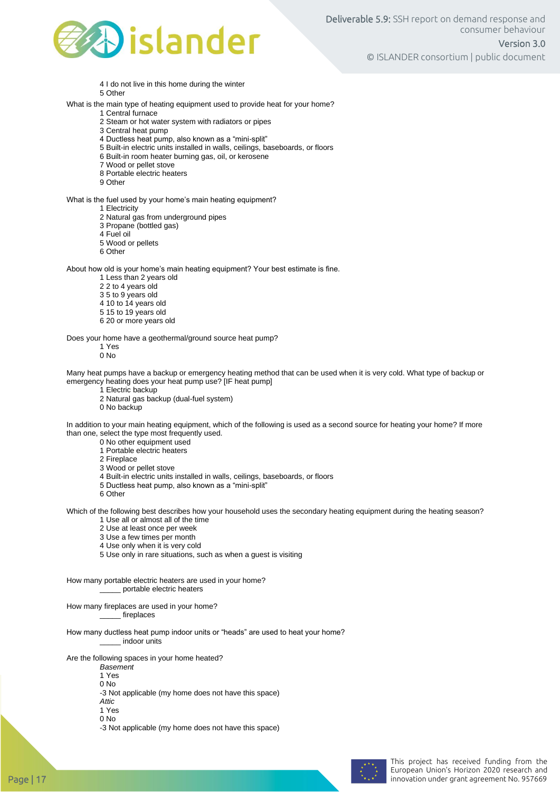

- 4 I do not live in this home during the winter
- 5 Other
- What is the main type of heating equipment used to provide heat for your home?
	- 1 Central furnace 2 Steam or hot water system with radiators or pipes
	- 3 Central heat pump
	- 4 Ductless heat pump, also known as a "mini-split"
	- 5 Built-in electric units installed in walls, ceilings, baseboards, or floors
	- 6 Built-in room heater burning gas, oil, or kerosene
	- 7 Wood or pellet stove
	- 8 Portable electric heaters
	- 9 Other

What is the fuel used by your home's main heating equipment?

- 1 Electricity
- 2 Natural gas from underground pipes
- 3 Propane (bottled gas)
- 4 Fuel oil
- 5 Wood or pellets
- 6 Other

About how old is your home's main heating equipment? Your best estimate is fine.

- 1 Less than 2 years old
- 2 2 to 4 years old
- 3 5 to 9 years old
- 4 10 to 14 years old
- 5 15 to 19 years old
- 6 20 or more years old

Does your home have a geothermal/ground source heat pump?

1 Yes 0 No

Many heat pumps have a backup or emergency heating method that can be used when it is very cold. What type of backup or emergency heating does your heat pump use? [IF heat pump]

- 1 Electric backup
- 2 Natural gas backup (dual-fuel system)
- 0 No backup

In addition to your main heating equipment, which of the following is used as a second source for heating your home? If more than one, select the type most frequently used.

- 0 No other equipment used
- 1 Portable electric heaters
- 2 Fireplace
- 3 Wood or pellet stove
- 4 Built-in electric units installed in walls, ceilings, baseboards, or floors
- 5 Ductless heat pump, also known as a "mini-split"
- 6 Other

Which of the following best describes how your household uses the secondary heating equipment during the heating season? 1 Use all or almost all of the time

- 2 Use at least once per week
- 3 Use a few times per month
- 4 Use only when it is very cold
- 5 Use only in rare situations, such as when a guest is visiting

How many portable electric heaters are used in your home? \_ portable electric heaters

How many fireplaces are used in your home? \_\_\_\_\_ fireplaces

How many ductless heat pump indoor units or "heads" are used to heat your home? \_\_\_\_\_ indoor units

Are the following spaces in your home heated?

- *Basement*
- 1 Yes 0 No
- -3 Not applicable (my home does not have this space)
- *Attic*
- 1 Yes
- 0 No
- -3 Not applicable (my home does not have this space)

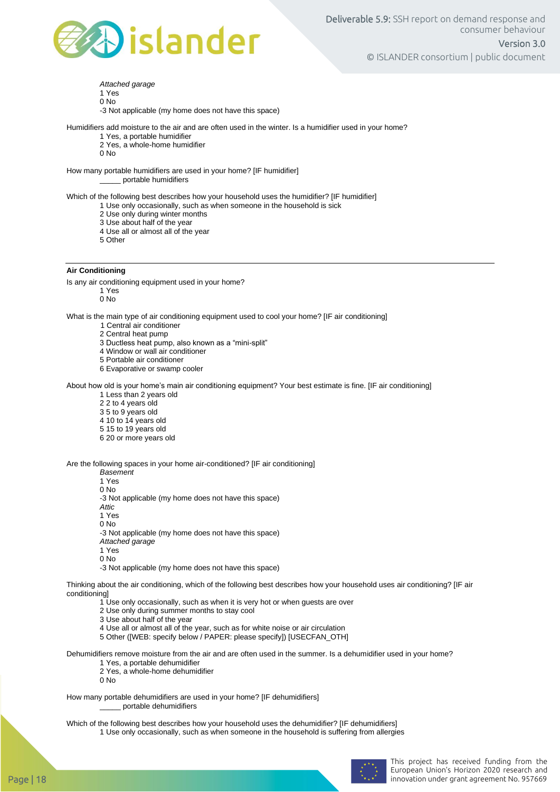

*Attached garage*  1 Yes 0 No -3 Not applicable (my home does not have this space)

Humidifiers add moisture to the air and are often used in the winter. Is a humidifier used in your home?

- 1 Yes, a portable humidifier
- 2 Yes, a whole-home humidifier
- 0 No

How many portable humidifiers are used in your home? [IF humidifier] \_\_\_\_\_ portable humidifiers

Which of the following best describes how your household uses the humidifier? [IF humidifier]

- 1 Use only occasionally, such as when someone in the household is sick
- 2 Use only during winter months
- 3 Use about half of the year
- 4 Use all or almost all of the year
- 5 Other

#### **Air Conditioning**

Is any air conditioning equipment used in your home?

1 Yes

0 No

What is the main type of air conditioning equipment used to cool your home? [IF air conditioning]

1 Central air conditioner

2 Central heat pump

3 Ductless heat pump, also known as a "mini-split"

4 Window or wall air conditioner

- 5 Portable air conditioner
- 6 Evaporative or swamp cooler

About how old is your home's main air conditioning equipment? Your best estimate is fine. [IF air conditioning]

1 Less than 2 years old

2 2 to 4 years old

- 3 5 to 9 years old
- 4 10 to 14 years old
- 5 15 to 19 years old
- 6 20 or more years old

Are the following spaces in your home air-conditioned? [IF air conditioning]

*Basement* 

1 Yes 0 No

-3 Not applicable (my home does not have this space)

*Attic* 

1 Yes

0 No

-3 Not applicable (my home does not have this space)

*Attached garage* 

1 Yes

0 No

-3 Not applicable (my home does not have this space)

Thinking about the air conditioning, which of the following best describes how your household uses air conditioning? [IF air conditioning]

- 1 Use only occasionally, such as when it is very hot or when guests are over
- 2 Use only during summer months to stay cool
- 3 Use about half of the year
- 4 Use all or almost all of the year, such as for white noise or air circulation
- 5 Other ([WEB: specify below / PAPER: please specify]) [USECFAN\_OTH]

Dehumidifiers remove moisture from the air and are often used in the summer. Is a dehumidifier used in your home?

- 1 Yes, a portable dehumidifier
- 2 Yes, a whole-home dehumidifier
- 0 No

How many portable dehumidifiers are used in your home? [IF dehumidifiers] \_\_\_\_\_ portable dehumidifiers

Which of the following best describes how your household uses the dehumidifier? [IF dehumidifiers] 1 Use only occasionally, such as when someone in the household is suffering from allergies

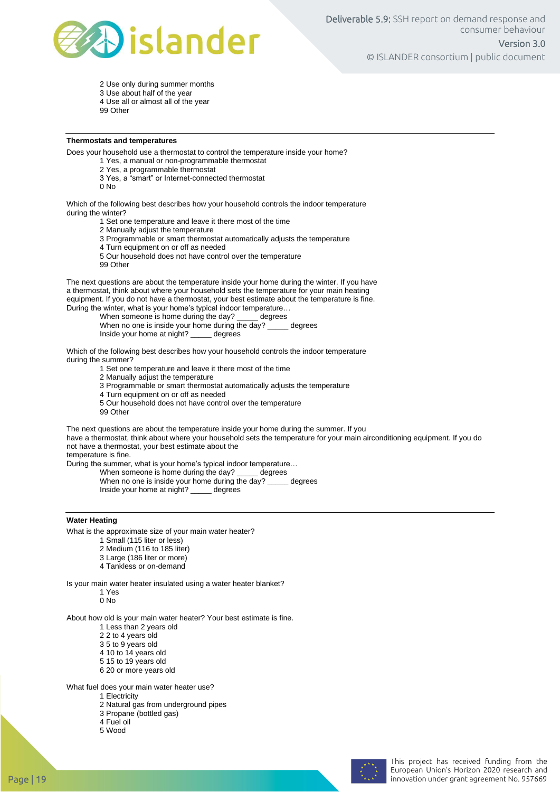

2 Use only during summer months 3 Use about half of the year

- 4 Use all or almost all of the year
- 99 Other

#### **Thermostats and temperatures**

Does your household use a thermostat to control the temperature inside your home?

1 Yes, a manual or non-programmable thermostat

2 Yes, a programmable thermostat

- 3 Yes, a "smart" or Internet-connected thermostat
- 0 No

Which of the following best describes how your household controls the indoor temperature during the winter?

1 Set one temperature and leave it there most of the time

2 Manually adjust the temperature

- 3 Programmable or smart thermostat automatically adjusts the temperature
- 4 Turn equipment on or off as needed
- 5 Our household does not have control over the temperature
- 99 Other

The next questions are about the temperature inside your home during the winter. If you have a thermostat, think about where your household sets the temperature for your main heating equipment. If you do not have a thermostat, your best estimate about the temperature is fine.

During the winter, what is your home's typical indoor temperature...<br>When someone is home during the day? \_\_\_\_\_\_ degrees When someone is home during the day?

When no one is inside your home during the day? \_\_\_\_\_ degrees<br>Inside your home at night? \_\_\_\_\_\_ degrees Inside your home at night? \_

Which of the following best describes how your household controls the indoor temperature during the summer?

1 Set one temperature and leave it there most of the time

2 Manually adjust the temperature

3 Programmable or smart thermostat automatically adjusts the temperature

- 4 Turn equipment on or off as needed
- 5 Our household does not have control over the temperature
- 99 Other

The next questions are about the temperature inside your home during the summer. If you have a thermostat, think about where your household sets the temperature for your main airconditioning equipment. If you do not have a thermostat, your best estimate about the

temperature is fine.

During the summer, what is your home's typical indoor temperature…

When someone is home during the day?  $\frac{1}{2}$  degrees<br>When no one is inside your home during the day? degrees When no one is inside your home during the day? Inside your home at night? \_\_\_\_\_ degrees

#### **Water Heating**

What is the approximate size of your main water heater?

- 1 Small (115 liter or less)
- 2 Medium (116 to 185 liter)
- 3 Large (186 liter or more)
- 4 Tankless or on-demand

Is your main water heater insulated using a water heater blanket?

1 Yes

0 No

About how old is your main water heater? Your best estimate is fine.

- 1 Less than 2 years old
- 2 2 to 4 years old
- 3 5 to 9 years old
- 4 10 to 14 years old
- 5 15 to 19 years old
- 6 20 or more years old

What fuel does your main water heater use?

- 1 Electricity
- 2 Natural gas from underground pipes
- 3 Propane (bottled gas) 4 Fuel oil
- 5 Wood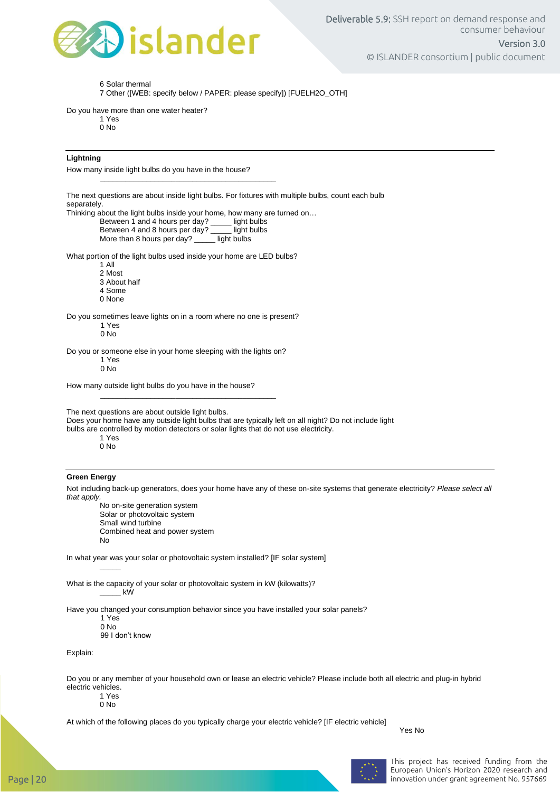

6 Solar thermal

7 Other ([WEB: specify below / PAPER: please specify]) [FUELH2O\_OTH]

Do you have more than one water heater?

1 Yes 0 No

#### **Lightning**

How many inside light bulbs do you have in the house?

The next questions are about inside light bulbs. For fixtures with multiple bulbs, count each bulb separately.

Thinking about the light bulbs inside your home, how many are turned on...<br>Between 1 and 4 hours per day? \_\_\_\_\_ light bulbs

\_\_\_\_\_\_\_\_\_\_\_\_\_\_\_\_\_\_\_\_\_\_\_\_\_\_\_\_\_\_\_\_\_\_\_\_\_\_\_\_\_\_

Between 1 and 4 hours per day? \_\_\_\_\_ light bulbs<br>Between 4 and 8 hours per day? \_\_\_\_ light bulbs Between 4 and 8 hours per day? \_\_\_\_ light bulbs<br>More than 8 hours per day? \_\_\_\_ light bulbs

More than 8 hours per day?

What portion of the light bulbs used inside your home are LED bulbs?

1 All

- 2 Most
- 3 About half

4 Some

0 None

Do you sometimes leave lights on in a room where no one is present?

1 Yes  $0 N<sub>0</sub>$ 

Do you or someone else in your home sleeping with the lights on?

\_\_\_\_\_\_\_\_\_\_\_\_\_\_\_\_\_\_\_\_\_\_\_\_\_\_\_\_\_\_\_\_\_\_\_\_\_\_\_\_\_\_

1 Yes

 $0$  No

How many outside light bulbs do you have in the house?

The next questions are about outside light bulbs.

Does your home have any outside light bulbs that are typically left on all night? Do not include light

bulbs are controlled by motion detectors or solar lights that do not use electricity.

1 Yes 0 No

#### **Green Energy**

Not including back-up generators, does your home have any of these on-site systems that generate electricity? *Please select all that apply.*

No on-site generation system Solar or photovoltaic system Small wind turbine Combined heat and power system No

In what year was your solar or photovoltaic system installed? [IF solar system]

What is the capacity of your solar or photovoltaic system in kW (kilowatts)? \_\_\_\_\_ kW

Have you changed your consumption behavior since you have installed your solar panels?

1 Yes

 $\overline{\phantom{a}}$ 

 $0$  No 99 I don't know

Explain:

Do you or any member of your household own or lease an electric vehicle? Please include both all electric and plug-in hybrid electric vehicles.

1 Yes

0 No

At which of the following places do you typically charge your electric vehicle? [IF electric vehicle]

Yes No



This project has received funding from the European Union's Horizon 2020 research and Page | 20 innovation under grant agreement No. 957669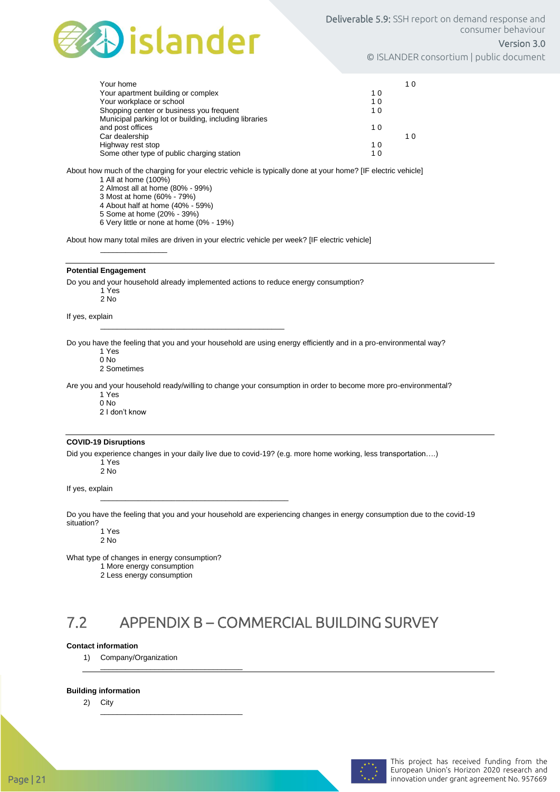

#### Version 3.0

© ISLANDER consortium | public document

| Your home                                              |    | 10  |
|--------------------------------------------------------|----|-----|
| Your apartment building or complex                     | 10 |     |
| Your workplace or school                               | 10 |     |
| Shopping center or business you frequent               | 10 |     |
| Municipal parking lot or building, including libraries |    |     |
| and post offices                                       | 10 |     |
| Car dealership                                         |    | 1 በ |
| Highway rest stop                                      | 10 |     |
| Some other type of public charging station             | 10 |     |

About how much of the charging for your electric vehicle is typically done at your home? [IF electric vehicle] 1 All at home (100%)

2 Almost all at home (80% - 99%)

3 Most at home (60% - 79%)

4 About half at home (40% - 59%)

5 Some at home (20% - 39%)

 $\frac{1}{2}$  ,  $\frac{1}{2}$  ,  $\frac{1}{2}$  ,  $\frac{1}{2}$  ,  $\frac{1}{2}$  ,  $\frac{1}{2}$  ,  $\frac{1}{2}$  ,  $\frac{1}{2}$  ,  $\frac{1}{2}$  ,  $\frac{1}{2}$  ,  $\frac{1}{2}$  ,  $\frac{1}{2}$  ,  $\frac{1}{2}$  ,  $\frac{1}{2}$  ,  $\frac{1}{2}$  ,  $\frac{1}{2}$  ,  $\frac{1}{2}$  ,  $\frac{1}{2}$  ,  $\frac{1$ 

6 Very little or none at home (0% - 19%)

About how many total miles are driven in your electric vehicle per week? [IF electric vehicle]

#### **Potential Engagement**

Do you and your household already implemented actions to reduce energy consumption?

\_\_\_\_\_\_\_\_\_\_\_\_\_\_\_\_\_\_\_\_\_\_\_\_\_\_\_\_\_\_\_\_\_\_\_\_\_\_\_\_\_\_\_\_

\_\_\_\_\_\_\_\_\_\_\_\_\_\_\_\_\_\_\_\_\_\_\_\_\_\_\_\_\_\_\_\_\_\_\_\_\_\_\_\_\_\_\_\_\_

1 Yes 2 No

If yes, explain

Do you have the feeling that you and your household are using energy efficiently and in a pro-environmental way?

1 Yes 0 No

2 Sometimes

Are you and your household ready/willing to change your consumption in order to become more pro-environmental?

1 Yes

0 No

2 I don't know

#### **COVID-19 Disruptions**

Did you experience changes in your daily live due to covid-19? (e.g. more home working, less transportation….) 1 Yes

2 No

If yes, explain

Do you have the feeling that you and your household are experiencing changes in energy consumption due to the covid-19 situation?

1 Yes 2 No

What type of changes in energy consumption?

1 More energy consumption

\_\_\_\_\_\_\_\_\_\_\_\_\_\_\_\_\_\_\_\_\_\_\_\_\_\_\_\_\_\_\_\_\_\_

\_\_\_\_\_\_\_\_\_\_\_\_\_\_\_\_\_\_\_\_\_\_\_\_\_\_\_\_\_\_\_\_\_\_

2 Less energy consumption

### 7.2 APPENDIX B – COMMERCIAL BUILDING SURVEY

#### **Contact information**

1) Company/Organization

#### **Building information**

2) City

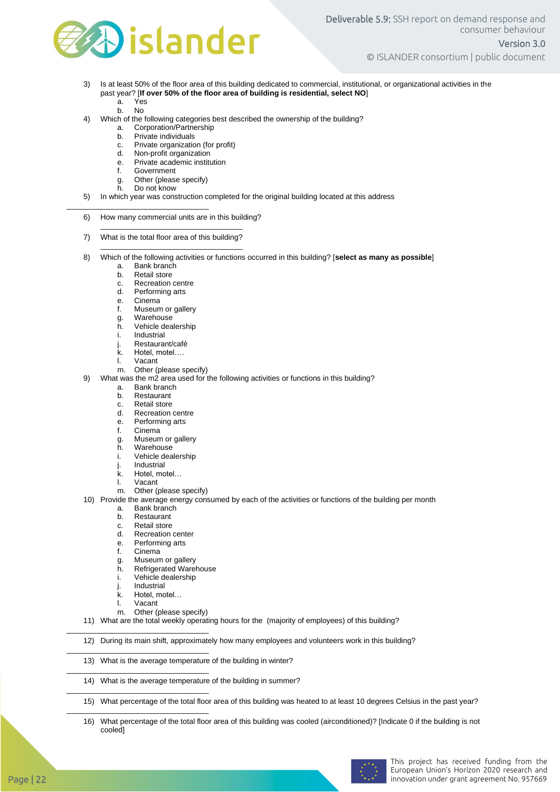

- 3) Is at least 50% of the floor area of this building dedicated to commercial, institutional, or organizational activities in the past year? [**If over 50% of the floor area of building is residential, select NO**]
	- a. Yes b. No
- 4) Which of the following categories best described the ownership of the building?
	- a. Corporation/Partnership
	- b. Private individuals
	- c. Private organization (for profit)<br>d. Non-profit organization
	- Non-profit organization
	- e. Private academic institution<br>f. Government
	- f. Government<br>g. Other (please

\_\_\_\_\_\_\_\_\_\_\_\_\_\_\_\_\_\_\_\_\_\_\_\_\_\_\_\_\_\_\_\_\_\_

- Other (please specify)
- h. Do not know
- 5) In which year was construction completed for the original building located at this address
- 6) How many commercial units are in this building? \_\_\_\_\_\_\_\_\_\_\_\_\_\_\_\_\_\_\_\_\_\_\_\_\_\_\_\_\_\_\_\_\_\_

\_\_\_\_\_\_\_\_\_\_\_\_\_\_\_\_\_\_\_\_\_\_\_\_\_\_\_\_\_\_\_\_\_\_

- 7) What is the total floor area of this building?
- 8) Which of the following activities or functions occurred in this building? [**select as many as possible**]
	- a. Bank branch<br>b. Retail store
	- **Retail store**
	- c. Recreation centre<br>d. Performing arts
	- Performing arts
	- e. Cinema
	- f. Museum or gallery
	-
	- g. Warehouse<br>h. Vehicle dea h. Vehicle dealership
	- **Industrial**
	- j. Restaurant/café
	- k. Hotel, motel….
	- l. Vacant
	- m. Other (please specify)
- 9) What was the m2 area used for the following activities or functions in this building?
	- a. Bank branch<br>b. Restaurant
	- Restaurant
	- c. Retail store
	- d. Recreation centre
	- e. Performing arts
	- f. Cinema
	- g. Museum or gallery
	- h. Warehouse<br>i. Vehicle dea
	- Vehicle dealership j. Industrial
	- k. Hotel, motel…
	-
	- l. Vacant<br>m. Other (
	- Other (please specify)
- 10) Provide the average energy consumed by each of the activities or functions of the building per month
	- a. Bank branch
	- b. Restaurant
	- c. Retail store
	- d. Recreation center
	- e. Performing arts
	- f. Cinema
	- g. Museum or gallery
	- h. Refrigerated Warehouse
	- i. Vehicle dealership
	- j. Industrial
	- k. Hotel motel
	- l. Vacant

\_\_\_\_\_\_\_\_\_\_\_\_\_\_\_\_\_\_\_\_\_\_\_\_\_\_\_\_\_\_\_\_\_\_

\_\_\_\_\_\_\_\_\_\_\_\_\_\_\_\_\_\_\_\_\_\_\_\_\_\_\_\_\_\_\_\_\_\_

\_\_\_\_\_\_\_\_\_\_\_\_\_\_\_\_\_\_\_\_\_\_\_\_\_\_\_\_\_\_\_\_\_\_

\_\_\_\_\_\_\_\_\_\_\_\_\_\_\_\_\_\_\_\_\_\_\_\_\_\_\_\_\_\_\_\_\_\_

\_\_\_\_\_\_\_\_\_\_\_\_\_\_\_\_\_\_\_\_\_\_\_\_\_\_\_\_\_\_\_\_\_\_

m. Other (please specify)

11) What are the total weekly operating hours for the (majority of employees) of this building?

12) During its main shift, approximately how many employees and volunteers work in this building?

- 13) What is the average temperature of the building in winter?
- 14) What is the average temperature of the building in summer?

15) What percentage of the total floor area of this building was heated to at least 10 degrees Celsius in the past year?

16) What percentage of the total floor area of this building was cooled (airconditioned)? [Indicate 0 if the building is not cooled]

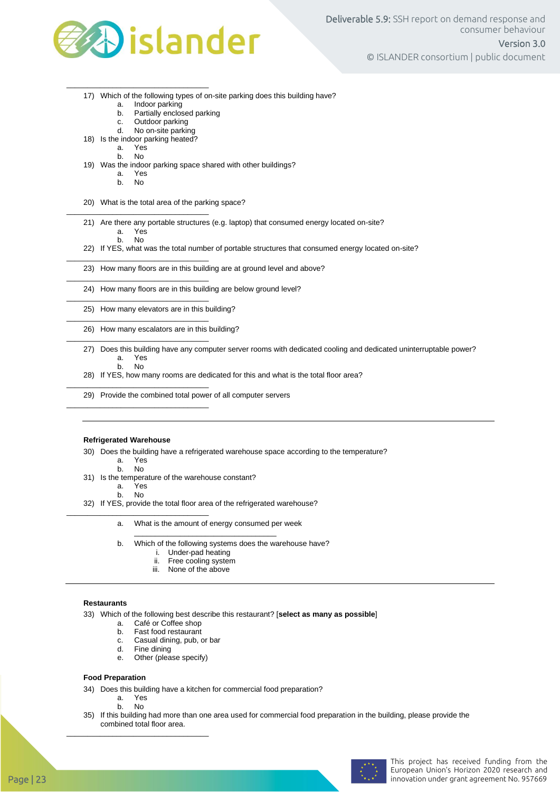

- 17) Which of the following types of on-site parking does this building have?
	- a. Indoor parking<br>b. Partially enclos
	- b. Partially enclosed parking<br>c. Outdoor parking
	- Outdoor parking
	- d. No on-site parking
- 18) Is the indoor parking heated?
	- Yes

\_\_\_\_\_\_\_\_\_\_\_\_\_\_\_\_\_\_\_\_\_\_\_\_\_\_\_\_\_\_\_\_\_\_

b. No

- 19) Was the indoor parking space shared with other buildings?
	- a. Yes

\_\_\_\_\_\_\_\_\_\_\_\_\_\_\_\_\_\_\_\_\_\_\_\_\_\_\_\_\_\_\_\_\_\_

\_\_\_\_\_\_\_\_\_\_\_\_\_\_\_\_\_\_\_\_\_\_\_\_\_\_\_\_\_\_\_\_\_\_

\_\_\_\_\_\_\_\_\_\_\_\_\_\_\_\_\_\_\_\_\_\_\_\_\_\_\_\_\_\_\_\_\_\_

\_\_\_\_\_\_\_\_\_\_\_\_\_\_\_\_\_\_\_\_\_\_\_\_\_\_\_\_\_\_\_\_\_\_

\_\_\_\_\_\_\_\_\_\_\_\_\_\_\_\_\_\_\_\_\_\_\_\_\_\_\_\_\_\_\_\_\_\_

\_\_\_\_\_\_\_\_\_\_\_\_\_\_\_\_\_\_\_\_\_\_\_\_\_\_\_\_\_\_\_\_\_\_

\_\_\_\_\_\_\_\_\_\_\_\_\_\_\_\_\_\_\_\_\_\_\_\_\_\_\_\_\_\_\_\_\_\_

\_\_\_\_\_\_\_\_\_\_\_\_\_\_\_\_\_\_\_\_\_\_\_\_\_\_\_\_\_\_\_\_\_\_

- b. No
- 20) What is the total area of the parking space?
- 21) Are there any portable structures (e.g. laptop) that consumed energy located on-site?

a. Yes<br>b. No b. No

- 22) If YES, what was the total number of portable structures that consumed energy located on-site?
- 23) How many floors are in this building are at ground level and above?
- 24) How many floors are in this building are below ground level?
- 25) How many elevators are in this building?
- 26) How many escalators are in this building?
- 27) Does this building have any computer server rooms with dedicated cooling and dedicated uninterruptable power? a. Yes
	- b. No
- 28) If YES, how many rooms are dedicated for this and what is the total floor area?
- 29) Provide the combined total power of all computer servers

#### **Refrigerated Warehouse**

- 30) Does the building have a refrigerated warehouse space according to the temperature?
	- a. Yes
	- b. No
- 31) Is the temperature of the warehouse constant?

a. Yes

b. No

\_\_\_\_\_\_\_\_\_\_\_\_\_\_\_\_\_\_\_\_\_\_\_\_\_\_\_\_\_\_\_\_\_\_

- 32) If YES, provide the total floor area of the refrigerated warehouse?
	- a. What is the amount of energy consumed per week \_\_\_\_\_\_\_\_\_\_\_\_\_\_\_\_\_\_\_\_\_\_\_\_\_\_\_\_\_\_\_\_\_\_
	- b. Which of the following systems does the warehouse have?
		- i. Under-pad heating
		- ii. Free cooling system
		- iii. None of the above

#### **Restaurants**

33) Which of the following best describe this restaurant? [**select as many as possible**]

- a. Café or Coffee shop
- b. Fast food restaurant
- c. Casual dining, pub, or bar
- d. Fine dining
- e. Other (please specify)

#### **Food Preparation**

- 34) Does this building have a kitchen for commercial food preparation?
	- a. Yes
	- b. No
- 35) If this building had more than one area used for commercial food preparation in the building, please provide the combined total floor area. \_\_\_\_\_\_\_\_\_\_\_\_\_\_\_\_\_\_\_\_\_\_\_\_\_\_\_\_\_\_\_\_\_\_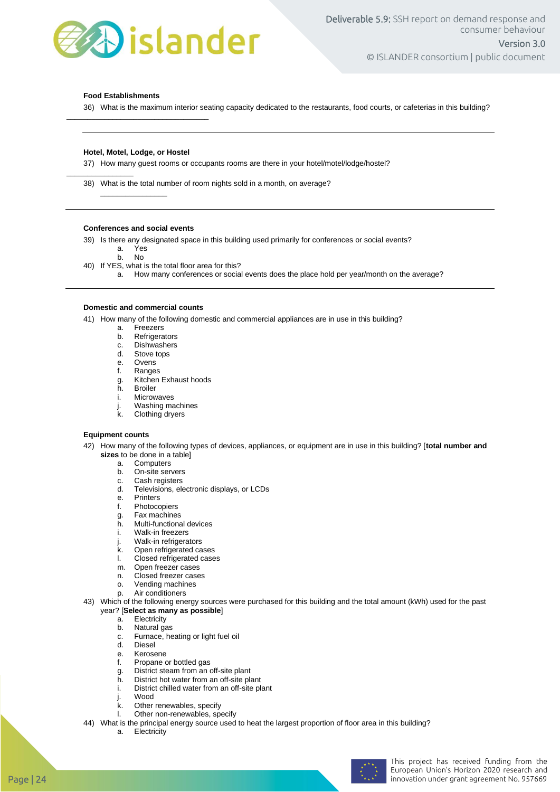

#### **Food Establishments**

 $\frac{1}{2}$  ,  $\frac{1}{2}$  ,  $\frac{1}{2}$  ,  $\frac{1}{2}$  ,  $\frac{1}{2}$  ,  $\frac{1}{2}$  ,  $\frac{1}{2}$  ,  $\frac{1}{2}$  ,  $\frac{1}{2}$  ,  $\frac{1}{2}$  ,  $\frac{1}{2}$  ,  $\frac{1}{2}$  ,  $\frac{1}{2}$  ,  $\frac{1}{2}$  ,  $\frac{1}{2}$  ,  $\frac{1}{2}$  ,  $\frac{1}{2}$  ,  $\frac{1}{2}$  ,  $\frac{1$ 

36) What is the maximum interior seating capacity dedicated to the restaurants, food courts, or cafeterias in this building?

#### **Hotel, Motel, Lodge, or Hostel**

\_\_\_\_\_\_\_\_\_\_\_\_\_\_\_\_\_\_\_\_\_\_\_\_\_\_\_\_\_\_\_\_\_\_

37) How many guest rooms or occupants rooms are there in your hotel/motel/lodge/hostel?

38) What is the total number of room nights sold in a month, on average?

#### **Conferences and social events**

 $\frac{1}{2}$  ,  $\frac{1}{2}$  ,  $\frac{1}{2}$  ,  $\frac{1}{2}$  ,  $\frac{1}{2}$  ,  $\frac{1}{2}$  ,  $\frac{1}{2}$  ,  $\frac{1}{2}$  ,  $\frac{1}{2}$  ,  $\frac{1}{2}$  ,  $\frac{1}{2}$  ,  $\frac{1}{2}$  ,  $\frac{1}{2}$  ,  $\frac{1}{2}$  ,  $\frac{1}{2}$  ,  $\frac{1}{2}$  ,  $\frac{1}{2}$  ,  $\frac{1}{2}$  ,  $\frac{1$ 

39) Is there any designated space in this building used primarily for conferences or social events?

a. Yes

b. No

40) If YES, what is the total floor area for this?

a. How many conferences or social events does the place hold per year/month on the average?

#### **Domestic and commercial counts**

41) How many of the following domestic and commercial appliances are in use in this building?

- a. Freezers
- b. Refrigerators
- c. Dishwashers<br>d. Stove tops
- Stove tops
- e. Ovens
- f. Ranges
- g. Kitchen Exhaust hoods<br>h. Broiler
- **Broiler**
- i. Microwaves
- j. Washing machines<br>k. Clothing dryers
- **Clothing dryers**

#### **Equipment counts**

- 42) How many of the following types of devices, appliances, or equipment are in use in this building? [**total number and sizes** to be done in a table]
	- a. Computers
	- b. On-site servers<br>c. Cash registers
	- Cash registers
	- d. Televisions, electronic displays, or LCDs
	- e. Printers
	- f. Photocopiers
	- g. Fax machines
	- h. Multi-functional devices
	- i. Walk-in freezers
	- j. Walk-in refrigerators<br>k. Open refrigerated ca
	- Open refrigerated cases
	- l. Closed refrigerated cases
	- m. Open freezer cases
	- n. Closed freezer cases
	- o. Vending machines
	- p. Air conditioners
- 43) Which of the following energy sources were purchased for this building and the total amount (kWh) used for the past year? [**Select as many as possible**]
	- a. Electricity
	- b. Natural gas
	- c. Furnace, heating or light fuel oil<br>d. Diesel
	- Diesel
	- e. Kerosene
	- f. Propane or bottled gas
	- g. District steam from an off-site plant
	- h. District hot water from an off-site plant
	- i. District chilled water from an off-site plant
	- Wood
	- k. Other renewables, specify
	- l. Other non-renewables, specify
- 44) What is the principal energy source used to heat the largest proportion of floor area in this building?
	- a. Electricity

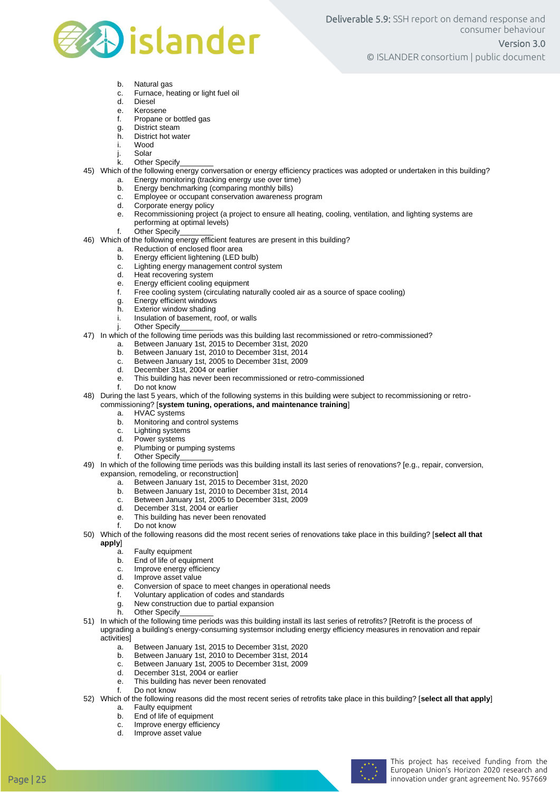

© ISLANDER consortium | public document

- b. Natural gas
- c. Furnace, heating or light fuel oil
- d. Diesel
- e. Kerosene<br>f. Propane
- Propane or bottled gas
- g. District steam
- h. District hot water
- Wood
- j. Solar
- k. Other Specify
- 45) Which of the following energy conversation or energy efficiency practices was adopted or undertaken in this building?<br>a. Energy monitoring (tracking energy use over time)
	- Energy monitoring (tracking energy use over time)
	- b. Energy benchmarking (comparing monthly bills)
	- c. Employee or occupant conservation awareness program
	- d. Corporate energy policy<br>e. Recommissioning project
	- Recommissioning project (a project to ensure all heating, cooling, ventilation, and lighting systems are performing at optimal levels)
	- f. Other Specify
- 46) Which of the following energy efficient features are present in this building?
	- a. Reduction of enclosed floor area
	- b. Energy efficient lightening (LED bulb)
	- c. Lighting energy management control system<br>d. Heat recovering system
	- Heat recovering system
	- e. Energy efficient cooling equipment<br>f. Free cooling system (circulating na
	- Free cooling system (circulating naturally cooled air as a source of space cooling)
	- g. Energy efficient windows
	-
	- h. Exterior window shading<br>i. Insulation of basement, r Insulation of basement, roof, or walls
	- Other Specify
- 47) In which of the following time periods was this building last recommissioned or retro-commissioned?
	- a. Between January 1st, 2015 to December 31st, 2020
	- b. Between January 1st, 2010 to December 31st, 2014
	- c. Between January 1st, 2005 to December 31st, 2009
	- December 31st, 2004 or earlier
	- e. This building has never been recommissioned or retro-commissioned
	- f. Do not know
- 48) During the last 5 years, which of the following systems in this building were subject to recommissioning or retrocommissioning? [**system tuning, operations, and maintenance training**]
	- a. HVAC systems
	- b. Monitoring and control systems
	- c. Lighting systems<br>d. Power systems
	- Power systems
	- e. Plumbing or pumping systems<br>f. Other Specify
	- Other Specify
- 49) In which of the following time periods was this building install its last series of renovations? [e.g., repair, conversion, expansion, remodeling, or reconstruction]
	- a. Between January 1st, 2015 to December 31st, 2020
	- b. Between January 1st, 2010 to December 31st, 2014
	- c. Between January 1st, 2005 to December 31st, 2009
	- d. December 31st, 2004 or earlier
	- e. This building has never been renovated
	- f. Do not know
- 50) Which of the following reasons did the most recent series of renovations take place in this building? [**select all that apply**]
	-
	- a. Faulty equipment<br>b. Fnd of life of equi End of life of equipment
	- c. Improve energy efficiency
	- d. Improve asset value
	- e. Conversion of space to meet changes in operational needs
	- f. Voluntary application of codes and standards
		- g. New construction due to partial expansion
		- h. Other Specify
- 51) In which of the following time periods was this building install its last series of retrofits? [Retrofit is the process of upgrading a building's energy-consuming systemsor including energy efficiency measures in renovation and repair activities]
	- a. Between January 1st, 2015 to December 31st, 2020
	- b. Between January 1st, 2010 to December 31st, 2014
	- c. Between January 1st, 2005 to December 31st, 2009
	- d. December 31st, 2004 or earlier
	- e. This building has never been renovated
	- f. Do not know
- 52) Which of the following reasons did the most recent series of retrofits take place in this building? [**select all that apply**] a. Faulty equipment
	- b. End of life of equipment
	- c. Improve energy efficiency
	- d. Improve asset value
		-

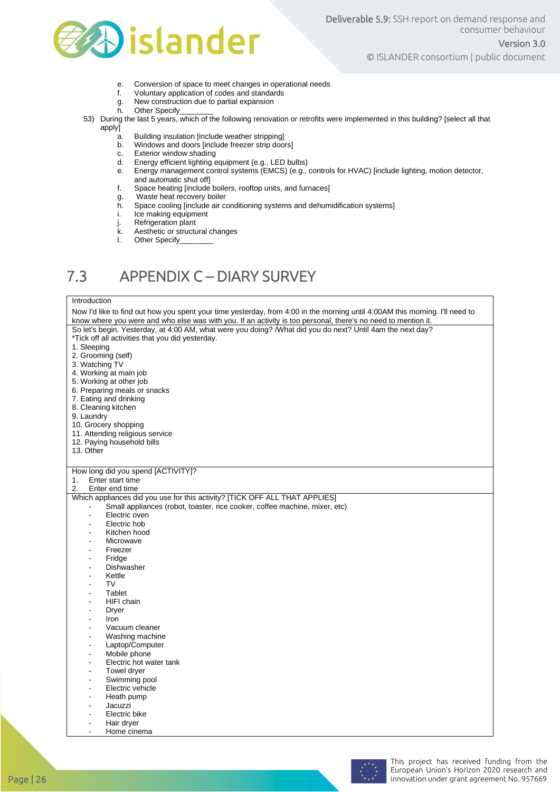

- e. Conversion of space to meet changes in operational needs
- f. Voluntary application of codes and standards
- g. New construction due to partial expansion<br>h. Other Specify
- Other Specify
- 53) During the last 5 years, which of the following renovation or retrofits were implemented in this building? [select all that apply]
	- a. Building insulation [include weather stripping]
	- Windows and doors [include freezer strip doors]
	- c. Exterior window shading
	- d. Energy efficient lighting equipment {e.g., LED bulbs)
	- e. Energy management control systems (EMCS) (e.g., controls for HVAC) [include lighting, motion detector, and automatic shut off]
	- f. Space heating [include boilers, rooftop units, and furnaces]
	- g. Waste heat recovery boiler<br>h. Space cooling [include air co
	- h. Space cooling [include air conditioning systems and dehumidification systems]
	- Ice making equipment
	-
	- j. Refrigeration plant<br>k. Aesthetic or structu k. Aesthetic or structural changes<br>I. Other Specify
	- Other Specify\_

### 7.3 APPENDIX C – DIARY SURVEY

#### Introduction

|                      | Now I'd like to find out how you spent your time yesterday, from 4:00 in the morning until 4:00AM this morning. I'll need to |  |  |  |  |
|----------------------|------------------------------------------------------------------------------------------------------------------------------|--|--|--|--|
|                      | know where you were and who else was with you. If an activity is too personal, there's no need to mention it.                |  |  |  |  |
|                      | So let's begin. Yesterday, at 4:00 AM, what were you doing? /What did you do next? Until 4am the next day?                   |  |  |  |  |
|                      | *Tick off all activities that you did yesterday.                                                                             |  |  |  |  |
| 1. Sleeping          |                                                                                                                              |  |  |  |  |
|                      | 2. Grooming (self)                                                                                                           |  |  |  |  |
|                      | 3. Watching TV                                                                                                               |  |  |  |  |
|                      |                                                                                                                              |  |  |  |  |
|                      | 4. Working at main job                                                                                                       |  |  |  |  |
|                      | 5. Working at other job                                                                                                      |  |  |  |  |
|                      | 6. Preparing meals or snacks                                                                                                 |  |  |  |  |
|                      | 7. Eating and drinking                                                                                                       |  |  |  |  |
|                      | 8. Cleaning kitchen                                                                                                          |  |  |  |  |
| 9. Laundry           |                                                                                                                              |  |  |  |  |
| 10. Grocery shopping |                                                                                                                              |  |  |  |  |
|                      | 11. Attending religious service                                                                                              |  |  |  |  |
|                      | 12. Paying household bills                                                                                                   |  |  |  |  |
| 13. Other            |                                                                                                                              |  |  |  |  |
|                      |                                                                                                                              |  |  |  |  |
|                      | How long did you spend [ACTIVITY]?                                                                                           |  |  |  |  |
| 1.                   | Enter start time                                                                                                             |  |  |  |  |
| 2.                   | Enter end time                                                                                                               |  |  |  |  |
|                      | Which appliances did you use for this activity? [TICK OFF ALL THAT APPLIES]                                                  |  |  |  |  |
|                      |                                                                                                                              |  |  |  |  |
|                      | Small appliances (robot, toaster, rice cooker, coffee machine, mixer, etc)                                                   |  |  |  |  |
| ÷,                   | Electric oven                                                                                                                |  |  |  |  |
|                      | Electric hob                                                                                                                 |  |  |  |  |
|                      | Kitchen hood                                                                                                                 |  |  |  |  |
|                      | Microwave                                                                                                                    |  |  |  |  |
|                      | Freezer                                                                                                                      |  |  |  |  |
|                      | Fridge                                                                                                                       |  |  |  |  |
|                      | Dishwasher                                                                                                                   |  |  |  |  |
|                      | Kettle                                                                                                                       |  |  |  |  |
| ÷.                   | TV                                                                                                                           |  |  |  |  |
|                      | Tablet                                                                                                                       |  |  |  |  |
| ۰                    | HIFI chain                                                                                                                   |  |  |  |  |
|                      | Dryer                                                                                                                        |  |  |  |  |
| $\blacksquare$       | Iron                                                                                                                         |  |  |  |  |
|                      | Vacuum cleaner                                                                                                               |  |  |  |  |
| ä,                   | Washing machine                                                                                                              |  |  |  |  |
|                      | Laptop/Computer                                                                                                              |  |  |  |  |
|                      | Mobile phone                                                                                                                 |  |  |  |  |
|                      |                                                                                                                              |  |  |  |  |
|                      | Electric hot water tank                                                                                                      |  |  |  |  |
|                      | Towel dryer                                                                                                                  |  |  |  |  |
|                      | Swimming pool                                                                                                                |  |  |  |  |
|                      | Electric vehicle                                                                                                             |  |  |  |  |
|                      | Heath pump                                                                                                                   |  |  |  |  |
|                      | Jacuzzi                                                                                                                      |  |  |  |  |
|                      | Electric bike                                                                                                                |  |  |  |  |
|                      | Hair dryer                                                                                                                   |  |  |  |  |
| ÷.                   | Home cinema                                                                                                                  |  |  |  |  |
|                      |                                                                                                                              |  |  |  |  |